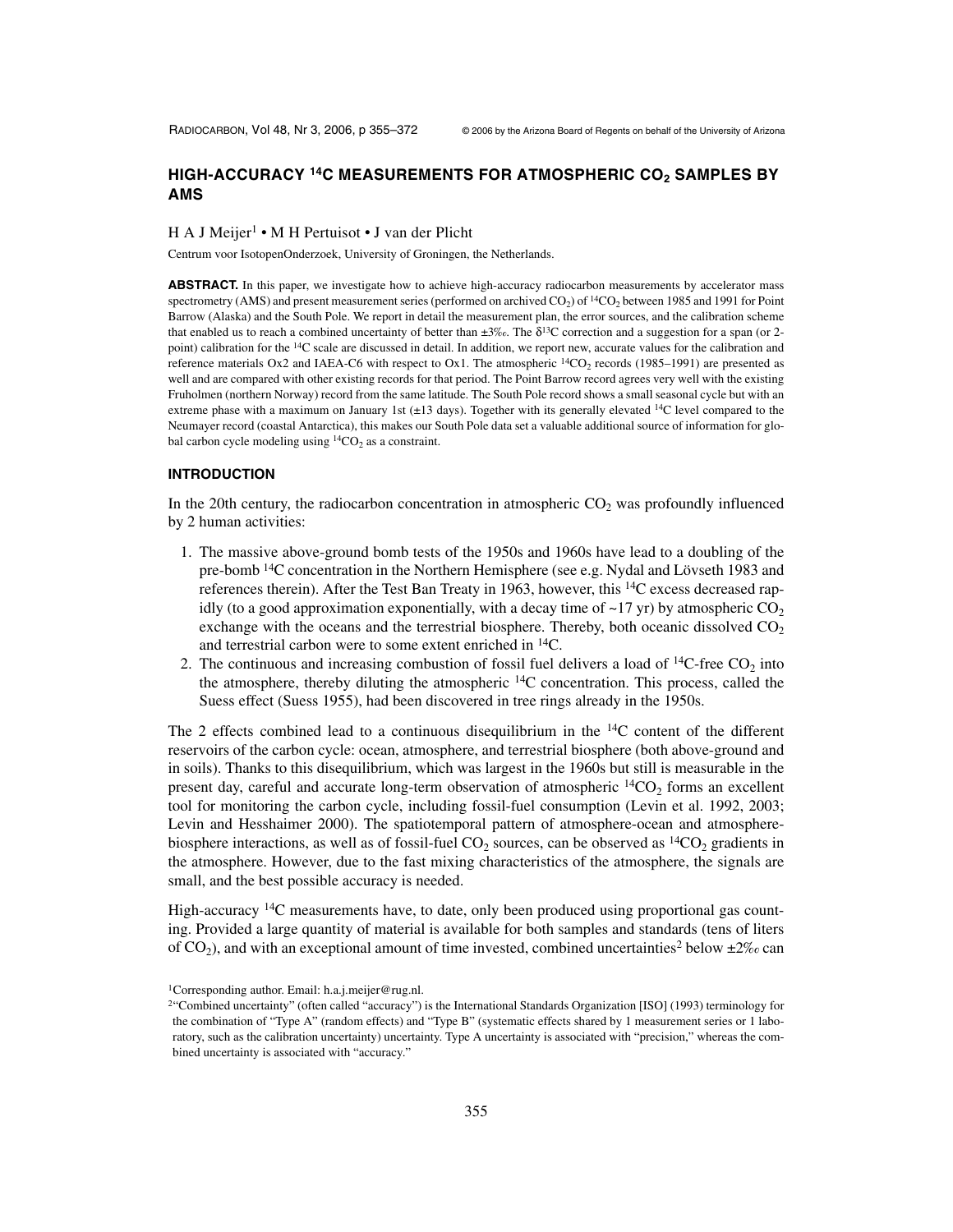# HIGH-ACCURACY <sup>14</sup>C MEASUREMENTS FOR ATMOSPHERIC CO<sub>2</sub> SAMPLES BY **AMS**

#### H A J Meijer<sup>1</sup> • M H Pertuisot • J van der Plicht

Centrum voor IsotopenOnderzoek, University of Groningen, the Netherlands.

**ABSTRACT.** In this paper, we investigate how to achieve high-accuracy radiocarbon measurements by accelerator mass spectrometry (AMS) and present measurement series (performed on archived  $CO<sub>2</sub>$ ) of  ${}^{14}CO<sub>2</sub>$  between 1985 and 1991 for Point Barrow (Alaska) and the South Pole. We report in detail the measurement plan, the error sources, and the calibration scheme that enabled us to reach a combined uncertainty of better than  $\pm 3\%$ . The  $\delta^{13}C$  correction and a suggestion for a span (or 2point) calibration for the 14C scale are discussed in detail. In addition, we report new, accurate values for the calibration and reference materials Ox2 and IAEA-C6 with respect to Ox1. The atmospheric  $14CO_2$  records (1985–1991) are presented as well and are compared with other existing records for that period. The Point Barrow record agrees very well with the existing Fruholmen (northern Norway) record from the same latitude. The South Pole record shows a small seasonal cycle but with an extreme phase with a maximum on January 1st (±13 days). Together with its generally elevated <sup>14</sup>C level compared to the Neumayer record (coastal Antarctica), this makes our South Pole data set a valuable additional source of information for global carbon cycle modeling using  ${}^{14}CO_2$  as a constraint.

# **INTRODUCTION**

In the 20th century, the radiocarbon concentration in atmospheric  $CO<sub>2</sub>$  was profoundly influenced by 2 human activities:

- 1. The massive above-ground bomb tests of the 1950s and 1960s have lead to a doubling of the pre-bomb 14C concentration in the Northern Hemisphere (see e.g. Nydal and Lövseth 1983 and references therein). After the Test Ban Treaty in 1963, however, this 14C excess decreased rapidly (to a good approximation exponentially, with a decay time of  $\sim$ 17 yr) by atmospheric CO<sub>2</sub> exchange with the oceans and the terrestrial biosphere. Thereby, both oceanic dissolved  $CO<sub>2</sub>$ and terrestrial carbon were to some extent enriched in 14C.
- 2. The continuous and increasing combustion of fossil fuel delivers a load of  ${}^{14}C$ -free CO<sub>2</sub> into the atmosphere, thereby diluting the atmospheric  $^{14}$ C concentration. This process, called the Suess effect (Suess 1955), had been discovered in tree rings already in the 1950s.

The 2 effects combined lead to a continuous disequilibrium in the  $^{14}$ C content of the different reservoirs of the carbon cycle: ocean, atmosphere, and terrestrial biosphere (both above-ground and in soils). Thanks to this disequilibrium, which was largest in the 1960s but still is measurable in the present day, careful and accurate long-term observation of atmospheric  $\frac{14}{12}CO_2$  forms an excellent tool for monitoring the carbon cycle, including fossil-fuel consumption (Levin et al. 1992, 2003; Levin and Hesshaimer 2000). The spatiotemporal pattern of atmosphere-ocean and atmospherebiosphere interactions, as well as of fossil-fuel  $CO_2$  sources, can be observed as <sup>14</sup>CO<sub>2</sub> gradients in the atmosphere. However, due to the fast mixing characteristics of the atmosphere, the signals are small, and the best possible accuracy is needed.

High-accuracy <sup>14</sup>C measurements have, to date, only been produced using proportional gas counting. Provided a large quantity of material is available for both samples and standards (tens of liters of  $CO<sub>2</sub>$ ), and with an exceptional amount of time invested, combined uncertainties<sup>2</sup> below  $\pm 2\%c$  can

<sup>1</sup>Corresponding author. Email: h.a.j.meijer@rug.nl.

<sup>2&</sup>quot;Combined uncertainty" (often called "accuracy") is the International Standards Organization [ISO] (1993) terminology for the combination of "Type A" (random effects) and "Type B" (systematic effects shared by 1 measurement series or 1 laboratory, such as the calibration uncertainty) uncertainty. Type A uncertainty is associated with "precision," whereas the combined uncertainty is associated with "accuracy."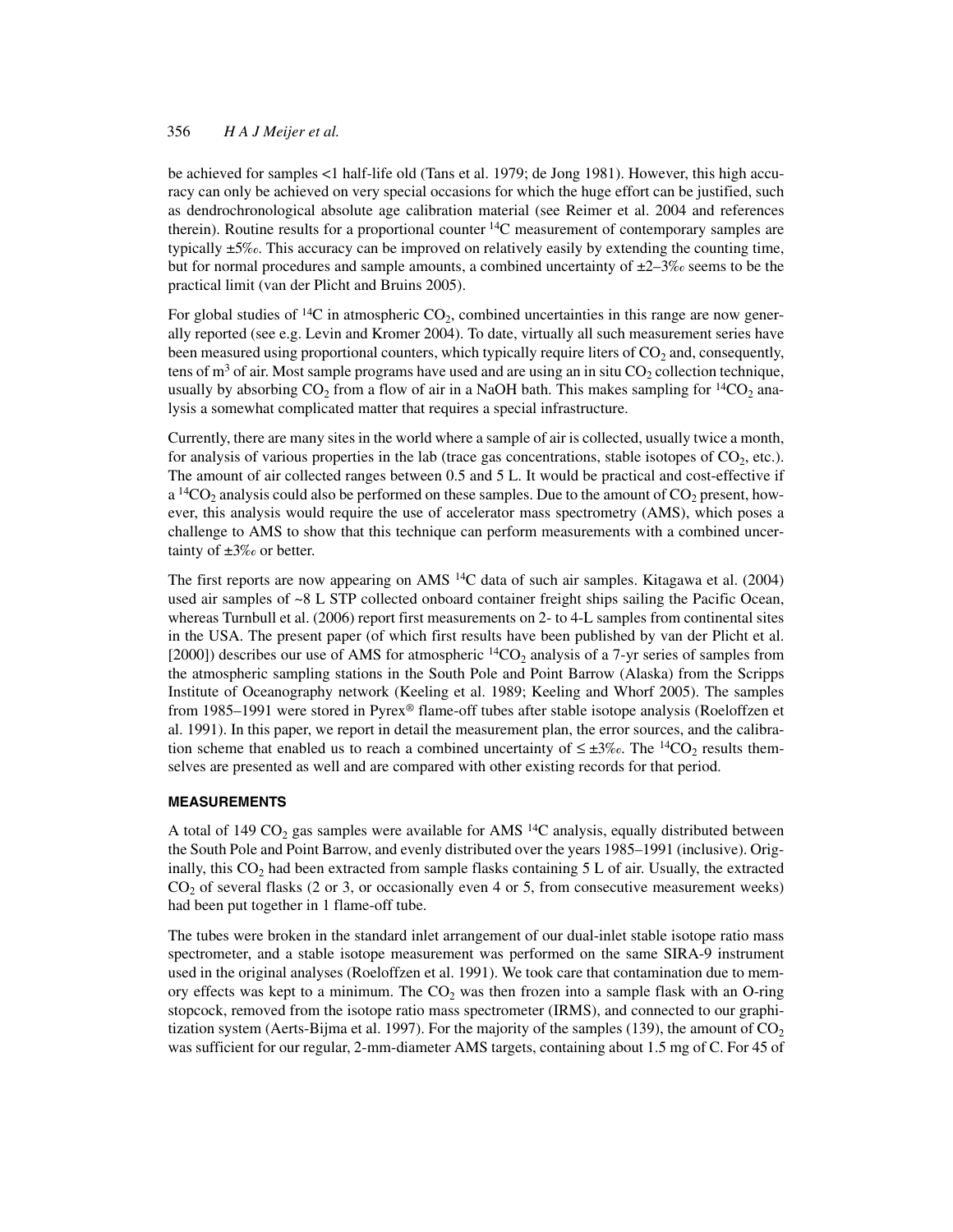be achieved for samples <1 half-life old (Tans et al. 1979; de Jong 1981). However, this high accuracy can only be achieved on very special occasions for which the huge effort can be justified, such as dendrochronological absolute age calibration material (see Reimer et al. 2004 and references therein). Routine results for a proportional counter 14C measurement of contemporary samples are typically ±5‰. This accuracy can be improved on relatively easily by extending the counting time, but for normal procedures and sample amounts, a combined uncertainty of  $\pm 2-3\%$  seems to be the practical limit (van der Plicht and Bruins 2005).

For global studies of <sup>14</sup>C in atmospheric  $CO<sub>2</sub>$ , combined uncertainties in this range are now generally reported (see e.g. Levin and Kromer 2004). To date, virtually all such measurement series have been measured using proportional counters, which typically require liters of  $CO<sub>2</sub>$  and, consequently, tens of  $m<sup>3</sup>$  of air. Most sample programs have used and are using an in situ CO<sub>2</sub> collection technique, usually by absorbing  $CO_2$  from a flow of air in a NaOH bath. This makes sampling for  $^{14}CO_2$  analysis a somewhat complicated matter that requires a special infrastructure.

Currently, there are many sites in the world where a sample of air is collected, usually twice a month, for analysis of various properties in the lab (trace gas concentrations, stable isotopes of  $CO<sub>2</sub>$ , etc.). The amount of air collected ranges between 0.5 and 5 L. It would be practical and cost-effective if a <sup>14</sup>CO<sub>2</sub> analysis could also be performed on these samples. Due to the amount of CO<sub>2</sub> present, however, this analysis would require the use of accelerator mass spectrometry (AMS), which poses a challenge to AMS to show that this technique can perform measurements with a combined uncertainty of  $\pm 3\%$  or better.

The first reports are now appearing on AMS  $14C$  data of such air samples. Kitagawa et al. (2004) used air samples of ~8 L STP collected onboard container freight ships sailing the Pacific Ocean, whereas Turnbull et al. (2006) report first measurements on 2- to 4-L samples from continental sites in the USA. The present paper (of which first results have been published by van der Plicht et al. [2000]) describes our use of AMS for atmospheric  ${}^{14}CO_2$  analysis of a 7-yr series of samples from the atmospheric sampling stations in the South Pole and Point Barrow (Alaska) from the Scripps Institute of Oceanography network (Keeling et al. 1989; Keeling and Whorf 2005). The samples from 1985–1991 were stored in Pyrex® flame-off tubes after stable isotope analysis (Roeloffzen et al. 1991). In this paper, we report in detail the measurement plan, the error sources, and the calibration scheme that enabled us to reach a combined uncertainty of  $\leq \pm 3\%$ . The <sup>14</sup>CO<sub>2</sub> results themselves are presented as well and are compared with other existing records for that period.

#### **MEASUREMENTS**

A total of 149 CO<sub>2</sub> gas samples were available for AMS <sup>14</sup>C analysis, equally distributed between the South Pole and Point Barrow, and evenly distributed over the years 1985–1991 (inclusive). Originally, this  $CO<sub>2</sub>$  had been extracted from sample flasks containing 5 L of air. Usually, the extracted  $CO<sub>2</sub>$  of several flasks (2 or 3, or occasionally even 4 or 5, from consecutive measurement weeks) had been put together in 1 flame-off tube.

The tubes were broken in the standard inlet arrangement of our dual-inlet stable isotope ratio mass spectrometer, and a stable isotope measurement was performed on the same SIRA-9 instrument used in the original analyses (Roeloffzen et al. 1991). We took care that contamination due to memory effects was kept to a minimum. The  $CO<sub>2</sub>$  was then frozen into a sample flask with an O-ring stopcock, removed from the isotope ratio mass spectrometer (IRMS), and connected to our graphitization system (Aerts-Bijma et al. 1997). For the majority of the samples (139), the amount of  $CO<sub>2</sub>$ was sufficient for our regular, 2-mm-diameter AMS targets, containing about 1.5 mg of C. For 45 of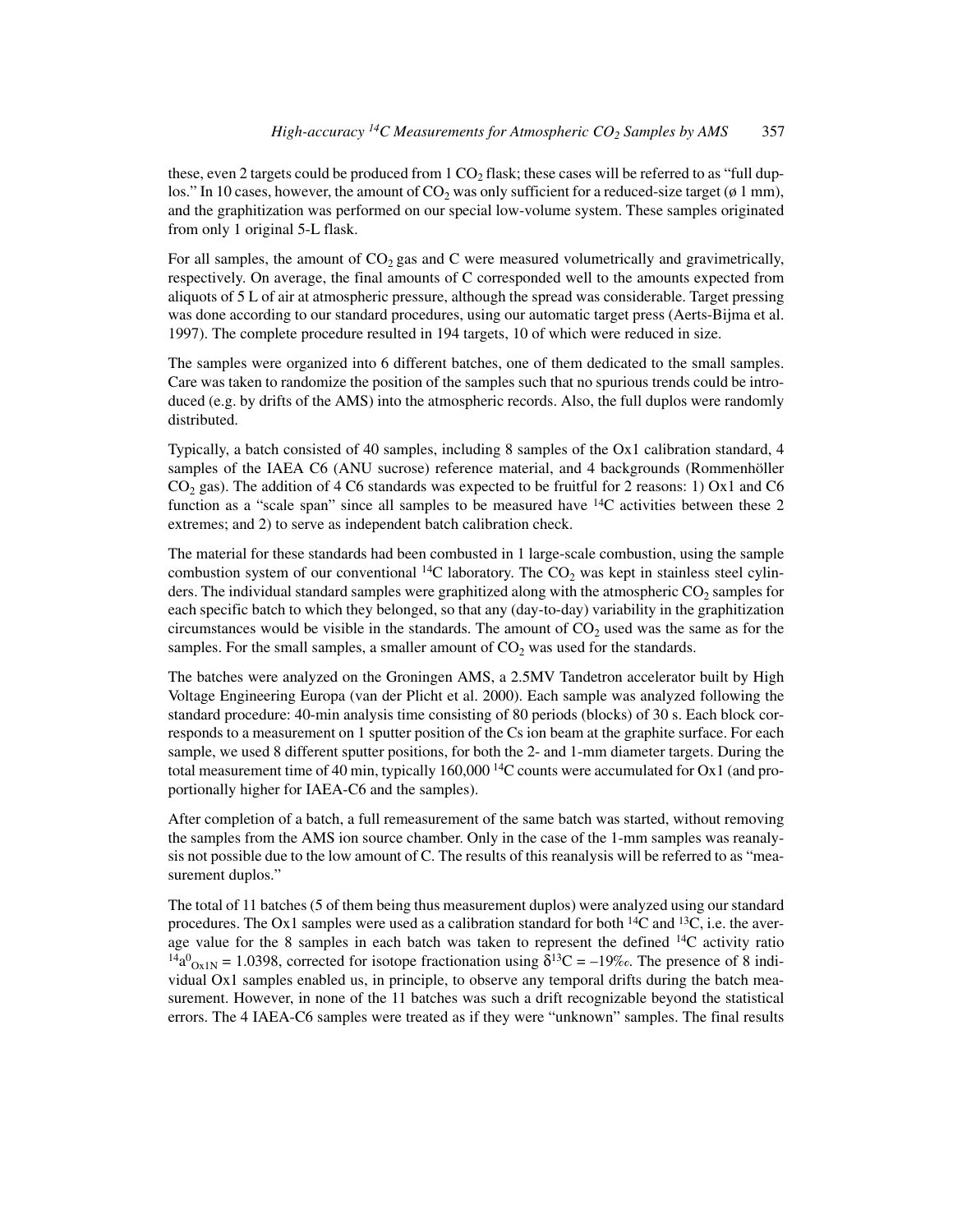these, even 2 targets could be produced from  $1 \text{ CO}_2$  flask; these cases will be referred to as "full duplos." In 10 cases, however, the amount of  $CO<sub>2</sub>$  was only sufficient for a reduced-size target ( $\phi$  1 mm), and the graphitization was performed on our special low-volume system. These samples originated from only 1 original 5-L flask.

For all samples, the amount of  $CO<sub>2</sub>$  gas and C were measured volumetrically and gravimetrically, respectively. On average, the final amounts of C corresponded well to the amounts expected from aliquots of 5 L of air at atmospheric pressure, although the spread was considerable. Target pressing was done according to our standard procedures, using our automatic target press (Aerts-Bijma et al. 1997). The complete procedure resulted in 194 targets, 10 of which were reduced in size.

The samples were organized into 6 different batches, one of them dedicated to the small samples. Care was taken to randomize the position of the samples such that no spurious trends could be introduced (e.g. by drifts of the AMS) into the atmospheric records. Also, the full duplos were randomly distributed.

Typically, a batch consisted of 40 samples, including 8 samples of the Ox1 calibration standard, 4 samples of the IAEA C6 (ANU sucrose) reference material, and 4 backgrounds (Rommenhöller  $CO<sub>2</sub>$  gas). The addition of 4 C6 standards was expected to be fruitful for 2 reasons: 1) Ox1 and C6 function as a "scale span" since all samples to be measured have  $14C$  activities between these 2 extremes; and 2) to serve as independent batch calibration check.

The material for these standards had been combusted in 1 large-scale combustion, using the sample combustion system of our conventional  $^{14}$ C laboratory. The CO<sub>2</sub> was kept in stainless steel cylinders. The individual standard samples were graphitized along with the atmospheric  $CO<sub>2</sub>$  samples for each specific batch to which they belonged, so that any (day-to-day) variability in the graphitization circumstances would be visible in the standards. The amount of  $CO<sub>2</sub>$  used was the same as for the samples. For the small samples, a smaller amount of  $CO<sub>2</sub>$  was used for the standards.

The batches were analyzed on the Groningen AMS, a 2.5MV Tandetron accelerator built by High Voltage Engineering Europa (van der Plicht et al. 2000). Each sample was analyzed following the standard procedure: 40-min analysis time consisting of 80 periods (blocks) of 30 s. Each block corresponds to a measurement on 1 sputter position of the Cs ion beam at the graphite surface. For each sample, we used 8 different sputter positions, for both the 2- and 1-mm diameter targets. During the total measurement time of 40 min, typically  $160,000$  <sup>14</sup>C counts were accumulated for Ox1 (and proportionally higher for IAEA-C6 and the samples).

After completion of a batch, a full remeasurement of the same batch was started, without removing the samples from the AMS ion source chamber. Only in the case of the 1-mm samples was reanalysis not possible due to the low amount of C. The results of this reanalysis will be referred to as "measurement duplos."

The total of 11 batches (5 of them being thus measurement duplos) were analyzed using our standard procedures. The Ox1 samples were used as a calibration standard for both  ${}^{14}C$  and  ${}^{13}C$ , i.e. the average value for the 8 samples in each batch was taken to represent the defined  $14C$  activity ratio <sup>14</sup>a<sup>0</sup><sub>Ox1N</sub> = 1.0398, corrected for isotope fractionation using  $\delta^{13}C = -19\%$ . The presence of 8 individual Ox1 samples enabled us, in principle, to observe any temporal drifts during the batch measurement. However, in none of the 11 batches was such a drift recognizable beyond the statistical errors. The 4 IAEA-C6 samples were treated as if they were "unknown" samples. The final results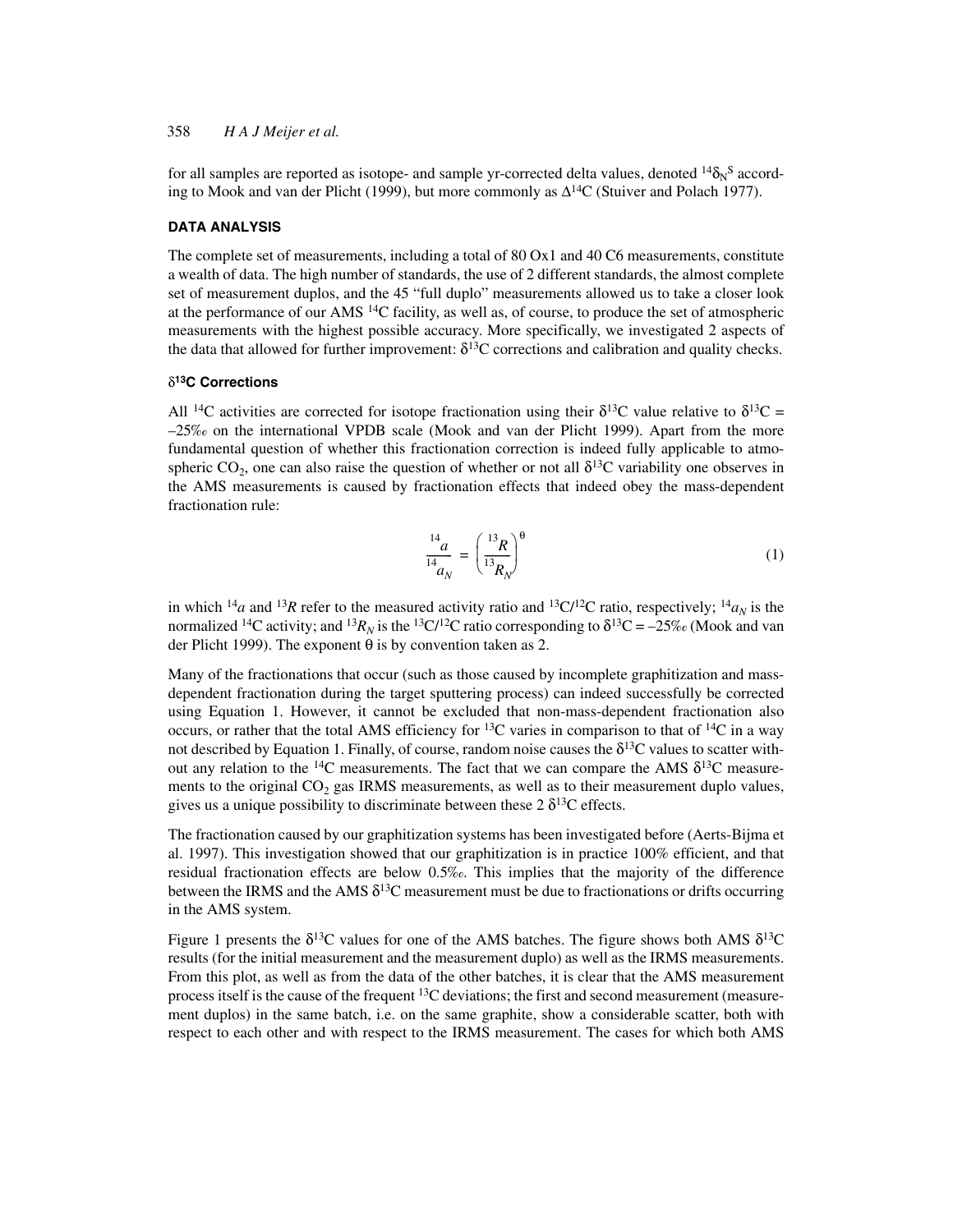for all samples are reported as isotope- and sample yr-corrected delta values, denoted  $^{14}\delta_\text{N}{}^\text{S}$  according to Mook and van der Plicht (1999), but more commonly as  $\Delta^{14}C$  (Stuiver and Polach 1977).

### **DATA ANALYSIS**

The complete set of measurements, including a total of 80 Ox1 and 40 C6 measurements, constitute a wealth of data. The high number of standards, the use of 2 different standards, the almost complete set of measurement duplos, and the 45 "full duplo" measurements allowed us to take a closer look at the performance of our AMS <sup>14</sup>C facility, as well as, of course, to produce the set of atmospheric measurements with the highest possible accuracy. More specifically, we investigated 2 aspects of the data that allowed for further improvement:  $\delta^{13}$ C corrections and calibration and quality checks.

### δ**13C Corrections**

All <sup>14</sup>C activities are corrected for isotope fractionation using their  $\delta^{13}$ C value relative to  $\delta^{13}$ C = –25‰ on the international VPDB scale (Mook and van der Plicht 1999). Apart from the more fundamental question of whether this fractionation correction is indeed fully applicable to atmospheric CO<sub>2</sub>, one can also raise the question of whether or not all  $\delta^{13}$ C variability one observes in the AMS measurements is caused by fractionation effects that indeed obey the mass-dependent fractionation rule:

$$
\frac{^{14}a}{^{14}a_N} = \left(\frac{^{13}R}{^{13}R_N}\right)^{\theta} \tag{1}
$$

in which <sup>14</sup>*a* and <sup>13</sup>*R* refer to the measured activity ratio and <sup>13</sup>C/<sup>12</sup>C ratio, respectively; <sup>14</sup>*a<sub>N</sub>* is the normalized <sup>14</sup>C activity; and <sup>13</sup> $R_N$  is the <sup>13</sup>C/<sup>12</sup>C ratio corresponding to  $\delta^{13}C = -25\%$  (Mook and van der Plicht 1999). The exponent  $\theta$  is by convention taken as 2.

Many of the fractionations that occur (such as those caused by incomplete graphitization and massdependent fractionation during the target sputtering process) can indeed successfully be corrected using Equation 1. However, it cannot be excluded that non-mass-dependent fractionation also occurs, or rather that the total AMS efficiency for <sup>13</sup>C varies in comparison to that of <sup>14</sup>C in a way not described by Equation 1. Finally, of course, random noise causes the  $\delta^{13}C$  values to scatter without any relation to the <sup>14</sup>C measurements. The fact that we can compare the AMS  $\delta^{13}$ C measurements to the original  $CO<sub>2</sub>$  gas IRMS measurements, as well as to their measurement duplo values, gives us a unique possibility to discriminate between these  $2 \delta^{13}$ C effects.

The fractionation caused by our graphitization systems has been investigated before (Aerts-Bijma et al. 1997). This investigation showed that our graphitization is in practice 100% efficient, and that residual fractionation effects are below 0.5‰. This implies that the majority of the difference between the IRMS and the AMS  $\delta^{13}$ C measurement must be due to fractionations or drifts occurring in the AMS system.

Figure 1 presents the  $\delta^{13}$ C values for one of the AMS batches. The figure shows both AMS  $\delta^{13}$ C results (for the initial measurement and the measurement duplo) as well as the IRMS measurements. From this plot, as well as from the data of the other batches, it is clear that the AMS measurement process itself is the cause of the frequent 13C deviations; the first and second measurement (measurement duplos) in the same batch, i.e. on the same graphite, show a considerable scatter, both with respect to each other and with respect to the IRMS measurement. The cases for which both AMS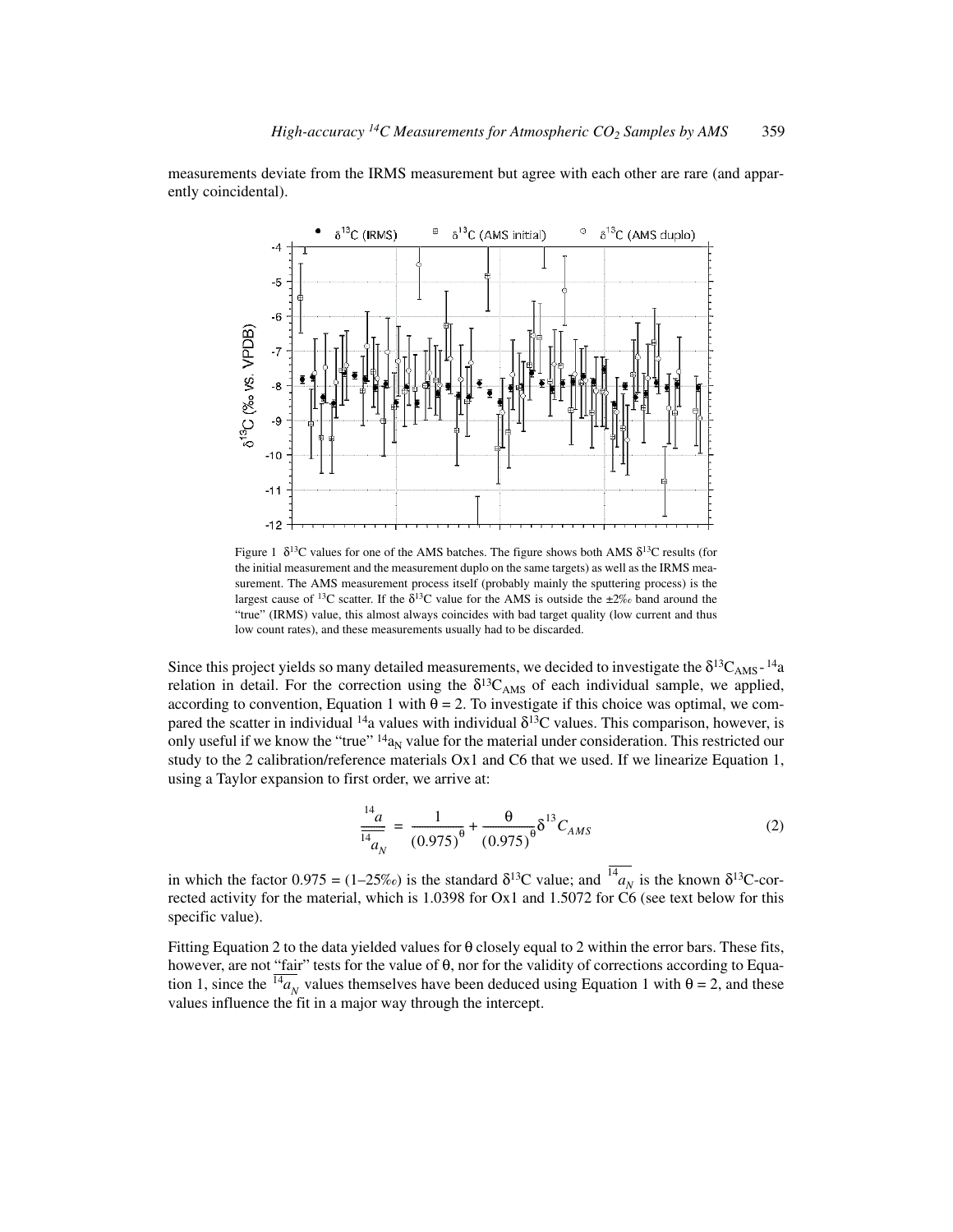measurements deviate from the IRMS measurement but agree with each other are rare (and apparently coincidental).



Figure 1  $\delta^{13}C$  values for one of the AMS batches. The figure shows both AMS  $\delta^{13}C$  results (for the initial measurement and the measurement duplo on the same targets) as well as the IRMS measurement. The AMS measurement process itself (probably mainly the sputtering process) is the largest cause of <sup>13</sup>C scatter. If the  $\delta^{13}$ C value for the AMS is outside the  $\pm 2\%$  band around the "true" (IRMS) value, this almost always coincides with bad target quality (low current and thus low count rates), and these measurements usually had to be discarded.

Since this project yields so many detailed measurements, we decided to investigate the  $\delta^{13}C_{AMS}$ -<sup>14</sup>a relation in detail. For the correction using the  $\delta^{13}C_{AMS}$  of each individual sample, we applied, according to convention, Equation 1 with  $\theta = 2$ . To investigate if this choice was optimal, we compared the scatter in individual  $14a$  values with individual  $\delta^{13}$ C values. This comparison, however, is only useful if we know the "true"  $14a<sub>N</sub>$  value for the material under consideration. This restricted our study to the 2 calibration/reference materials Ox1 and C6 that we used. If we linearize Equation 1, using a Taylor expansion to first order, we arrive at:

$$
\frac{^{14}a}{^{14}a_N} = \frac{1}{(0.975)^{\theta}} + \frac{\theta}{(0.975)^{\theta}} \delta^{13} C_{AMS}
$$
 (2)

in which the factor  $0.975 = (1-25\%)$  is the standard  $\delta^{13}C$  value; and  $^{14}a_N$  is the known  $\delta^{13}C$ -corrected activity for the material, which is 1.0398 for Ox1 and 1.5072 for C6 (see text below for this specific value). *N*

Fitting Equation 2 to the data yielded values for θ closely equal to 2 within the error bars. These fits, however, are not "fair" tests for the value of θ, nor for the validity of corrections according to Equation 1, since the  $^{14}a_N$  values themselves have been deduced using Equation 1 with  $\theta = 2$ , and these values influence the fit in a major way through the intercept.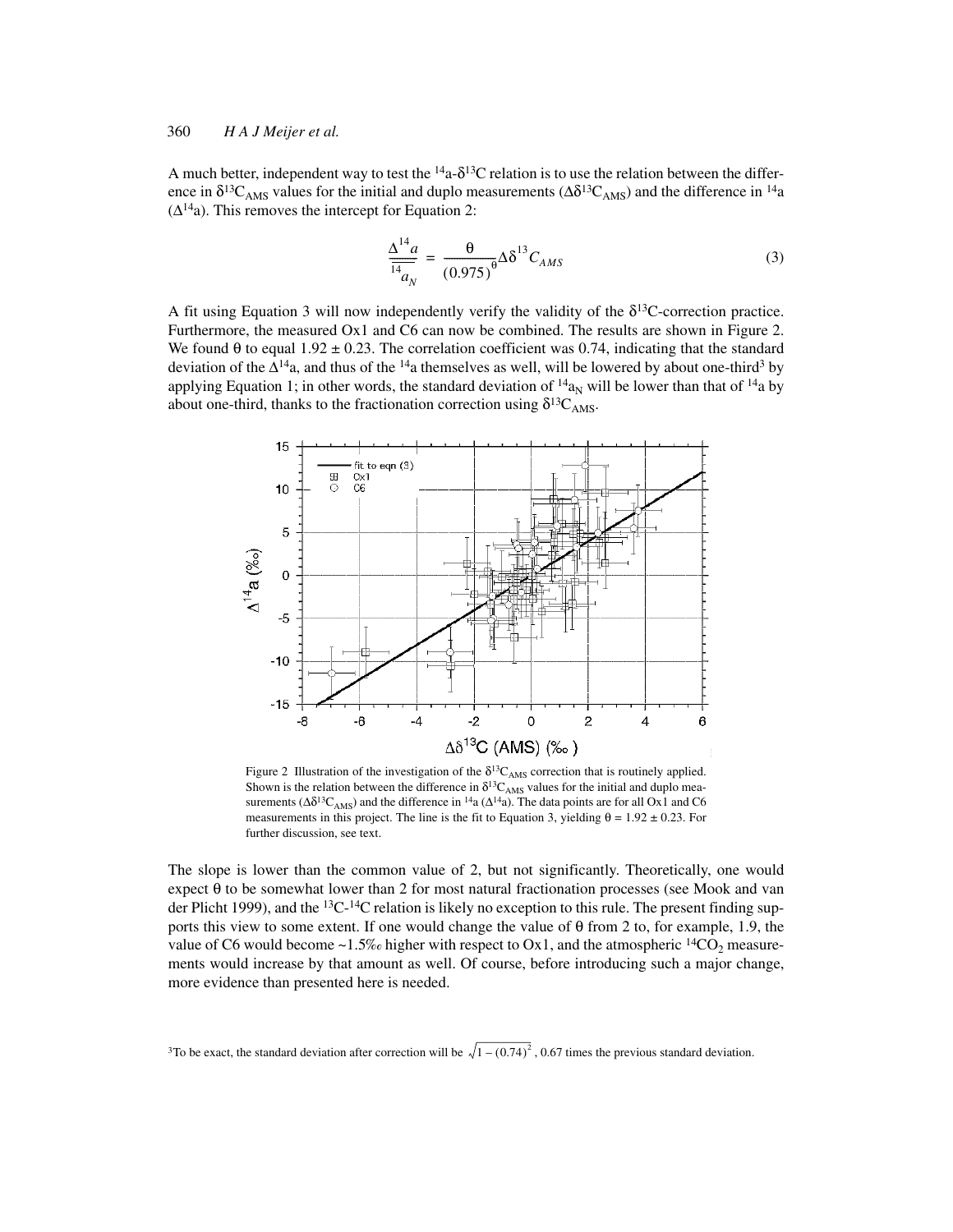A much better, independent way to test the  $14a- \delta^{13}C$  relation is to use the relation between the difference in  $\delta^{13}C_{AMS}$  values for the initial and duplo measurements ( $\Delta \delta^{13}C_{AMS}$ ) and the difference in <sup>14</sup>a  $(\Delta^{14}a)$ . This removes the intercept for Equation 2:

$$
\frac{\Delta^{14}a}{\frac{14}{a_N}} = \frac{\theta}{(0.975)^{\theta}} \Delta \delta^{13} C_{AMS}
$$
\n(3)

A fit using Equation 3 will now independently verify the validity of the  $\delta^{13}$ C-correction practice. Furthermore, the measured Ox1 and C6 can now be combined. The results are shown in Figure 2. We found  $\theta$  to equal 1.92  $\pm$  0.23. The correlation coefficient was 0.74, indicating that the standard deviation of the  $\Delta^{14}$ a, and thus of the <sup>14</sup>a themselves as well, will be lowered by about one-third<sup>3</sup> by applying Equation 1; in other words, the standard deviation of  $14a_N$  will be lower than that of  $14a$  by about one-third, thanks to the fractionation correction using  $\delta^{13}C_{AMS}$ .



Figure 2 Illustration of the investigation of the  $\delta^{13}C_{AMS}$  correction that is routinely applied. Shown is the relation between the difference in  $\delta^{13}C_{AMS}$  values for the initial and duplo measurements ( $\Delta \delta^{13}C_{AMS}$ ) and the difference in <sup>14</sup>a ( $\Delta^{14}$ a). The data points are for all Ox1 and C6 measurements in this project. The line is the fit to Equation 3, yielding  $\theta = 1.92 \pm 0.23$ . For further discussion, see text.

The slope is lower than the common value of 2, but not significantly. Theoretically, one would expect θ to be somewhat lower than 2 for most natural fractionation processes (see Mook and van der Plicht 1999), and the <sup>13</sup>C-<sup>14</sup>C relation is likely no exception to this rule. The present finding supports this view to some extent. If one would change the value of θ from 2 to, for example, 1.9, the value of C6 would become ~1.5‰ higher with respect to Ox1, and the atmospheric <sup>14</sup>CO<sub>2</sub> measurements would increase by that amount as well. Of course, before introducing such a major change, more evidence than presented here is needed.

<sup>3</sup>To be exact, the standard deviation after correction will be  $\sqrt{1-(0.74)^2}$ , 0.67 times the previous standard deviation.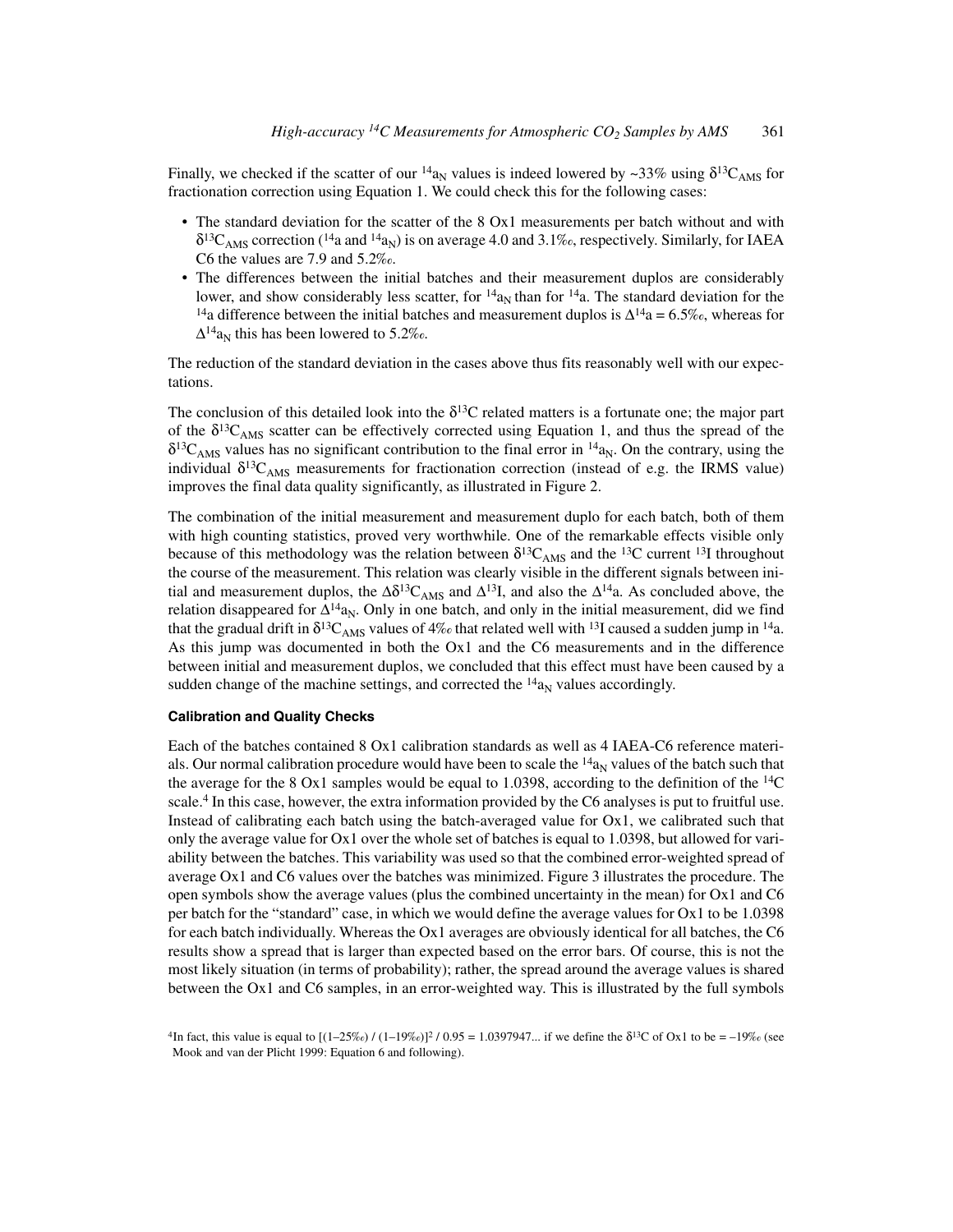Finally, we checked if the scatter of our  $^{14}a_N$  values is indeed lowered by ~33% using  $\delta^{13}C_{\text{AMS}}$  for fractionation correction using Equation 1. We could check this for the following cases:

- The standard deviation for the scatter of the 8 Ox1 measurements per batch without and with  $\delta^{13}C_{\text{AMS}}$  correction (<sup>14</sup>a and <sup>14</sup>a<sub>N</sub>) is on average 4.0 and 3.1‰, respectively. Similarly, for IAEA C6 the values are 7.9 and 5.2‰.
- The differences between the initial batches and their measurement duplos are considerably lower, and show considerably less scatter, for  $14a_N$  than for  $14a$ . The standard deviation for the <sup>14</sup>a difference between the initial batches and measurement duplos is  $\Delta^{14}a = 6.5\%$ , whereas for  $\Delta^{14}$ a<sub>N</sub> this has been lowered to 5.2‰.

The reduction of the standard deviation in the cases above thus fits reasonably well with our expectations.

The conclusion of this detailed look into the  $\delta^{13}C$  related matters is a fortunate one; the major part of the  $\delta^{13}C_{\text{AMS}}$  scatter can be effectively corrected using Equation 1, and thus the spread of the  $\delta^{13}C_{\text{AMS}}$  values has no significant contribution to the final error in  $^{14}a_{\text{N}}$ . On the contrary, using the individual  $\delta^{13}C_{AMS}$  measurements for fractionation correction (instead of e.g. the IRMS value) improves the final data quality significantly, as illustrated in Figure 2.

The combination of the initial measurement and measurement duplo for each batch, both of them with high counting statistics, proved very worthwhile. One of the remarkable effects visible only because of this methodology was the relation between  $\delta^{13}C_{AMS}$  and the <sup>13</sup>C current <sup>13</sup>I throughout the course of the measurement. This relation was clearly visible in the different signals between initial and measurement duplos, the  $\Delta \delta^{13}C_{\text{AMS}}$  and  $\Delta^{13}I$ , and also the  $\Delta^{14}a$ . As concluded above, the relation disappeared for  $\Delta^{14}a_N$ . Only in one batch, and only in the initial measurement, did we find that the gradual drift in  $\delta^{13}C_{\text{AMS}}$  values of 4‰ that related well with <sup>13</sup>I caused a sudden jump in <sup>14</sup>a. As this jump was documented in both the Ox1 and the C6 measurements and in the difference between initial and measurement duplos, we concluded that this effect must have been caused by a sudden change of the machine settings, and corrected the  $^{14}a_N$  values accordingly.

### **Calibration and Quality Checks**

Each of the batches contained 8 Ox1 calibration standards as well as 4 IAEA-C6 reference materials. Our normal calibration procedure would have been to scale the  $14a<sub>N</sub>$  values of the batch such that the average for the 8 Ox1 samples would be equal to 1.0398, according to the definition of the  $^{14}C$ scale.<sup>4</sup> In this case, however, the extra information provided by the C6 analyses is put to fruitful use. Instead of calibrating each batch using the batch-averaged value for  $Ox1$ , we calibrated such that only the average value for Ox1 over the whole set of batches is equal to 1.0398, but allowed for variability between the batches. This variability was used so that the combined error-weighted spread of average Ox1 and C6 values over the batches was minimized. Figure 3 illustrates the procedure. The open symbols show the average values (plus the combined uncertainty in the mean) for Ox1 and C6 per batch for the "standard" case, in which we would define the average values for Ox1 to be 1.0398 for each batch individually. Whereas the Ox1 averages are obviously identical for all batches, the C6 results show a spread that is larger than expected based on the error bars. Of course, this is not the most likely situation (in terms of probability); rather, the spread around the average values is shared between the Ox1 and C6 samples, in an error-weighted way. This is illustrated by the full symbols

<sup>&</sup>lt;sup>4</sup>In fact, this value is equal to  $[(1-25\%)/(1-19\%)]^2/0.95 = 1.0397947...$  if we define the  $\delta^{13}C$  of Ox1 to be = -19‰ (see Mook and van der Plicht 1999: Equation 6 and following).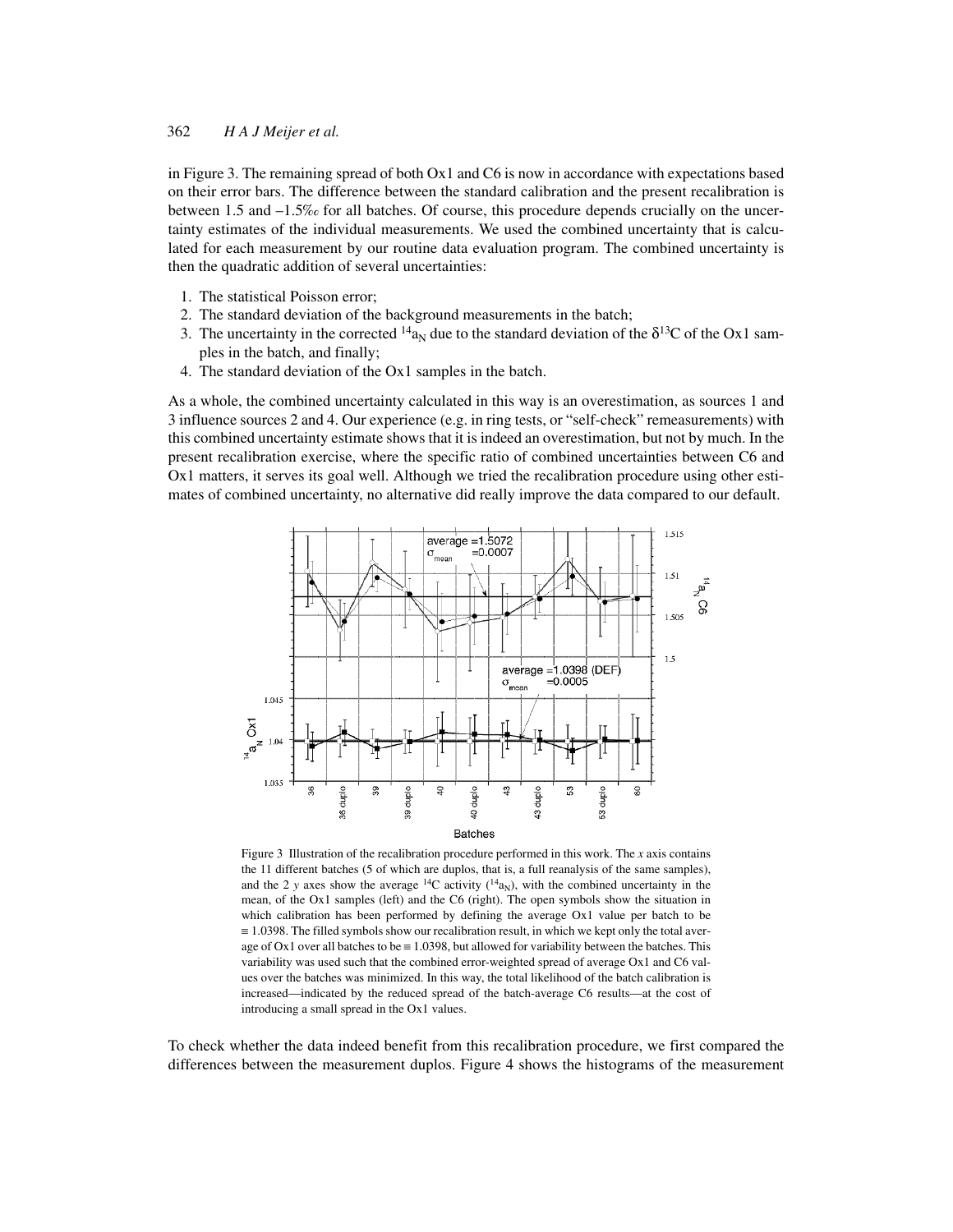in Figure 3. The remaining spread of both Ox1 and C6 is now in accordance with expectations based on their error bars. The difference between the standard calibration and the present recalibration is between 1.5 and –1.5‰ for all batches. Of course, this procedure depends crucially on the uncertainty estimates of the individual measurements. We used the combined uncertainty that is calculated for each measurement by our routine data evaluation program. The combined uncertainty is then the quadratic addition of several uncertainties:

- 1. The statistical Poisson error;
- 2. The standard deviation of the background measurements in the batch;
- 3. The uncertainty in the corrected  $14a_N$  due to the standard deviation of the  $\delta^{13}C$  of the Ox1 samples in the batch, and finally;
- 4. The standard deviation of the Ox1 samples in the batch.

As a whole, the combined uncertainty calculated in this way is an overestimation, as sources 1 and 3 influence sources 2 and 4. Our experience (e.g. in ring tests, or "self-check" remeasurements) with this combined uncertainty estimate shows that it is indeed an overestimation, but not by much. In the present recalibration exercise, where the specific ratio of combined uncertainties between C6 and Ox1 matters, it serves its goal well. Although we tried the recalibration procedure using other estimates of combined uncertainty, no alternative did really improve the data compared to our default.



Figure 3 Illustration of the recalibration procedure performed in this work. The *x* axis contains the 11 different batches (5 of which are duplos, that is, a full reanalysis of the same samples), and the 2 *y* axes show the average <sup>14</sup>C activity ( $^{14}$ a<sub>N</sub>), with the combined uncertainty in the mean, of the Ox1 samples (left) and the C6 (right). The open symbols show the situation in which calibration has been performed by defining the average Ox1 value per batch to be ≡ 1.0398. The filled symbols show our recalibration result, in which we kept only the total average of Ox1 over all batches to be  $\equiv$  1.0398, but allowed for variability between the batches. This variability was used such that the combined error-weighted spread of average Ox1 and C6 values over the batches was minimized. In this way, the total likelihood of the batch calibration is increased—indicated by the reduced spread of the batch-average C6 results—at the cost of introducing a small spread in the Ox1 values.

To check whether the data indeed benefit from this recalibration procedure, we first compared the differences between the measurement duplos. Figure 4 shows the histograms of the measurement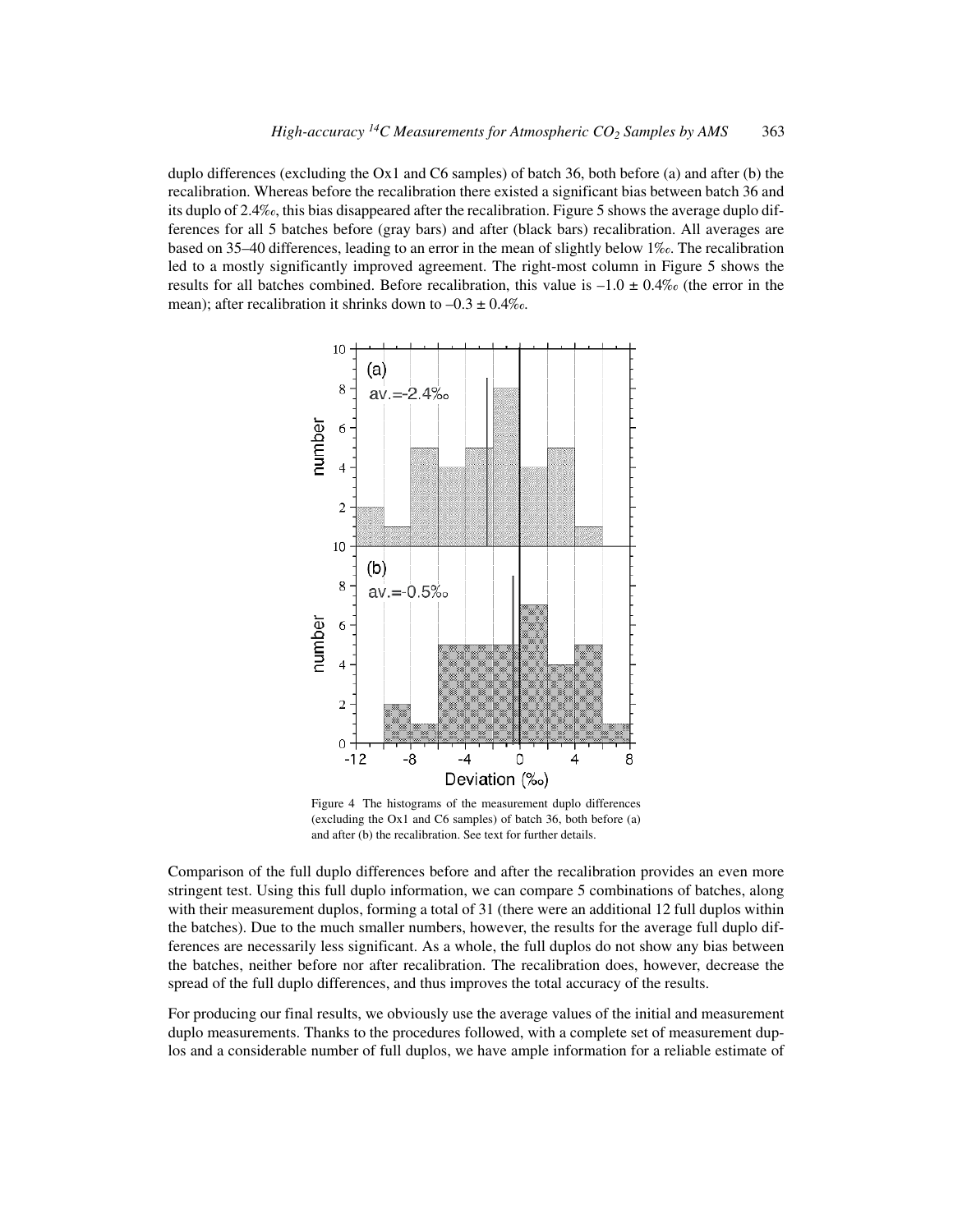duplo differences (excluding the Ox1 and C6 samples) of batch 36, both before (a) and after (b) the recalibration. Whereas before the recalibration there existed a significant bias between batch 36 and its duplo of 2.4‰, this bias disappeared after the recalibration. Figure 5 shows the average duplo differences for all 5 batches before (gray bars) and after (black bars) recalibration. All averages are based on 35–40 differences, leading to an error in the mean of slightly below 1‰. The recalibration led to a mostly significantly improved agreement. The right-most column in Figure 5 shows the results for all batches combined. Before recalibration, this value is  $-1.0 \pm 0.4\%$  (the error in the mean); after recalibration it shrinks down to  $-0.3 \pm 0.4\%$ .



Figure 4 The histograms of the measurement duplo differences (excluding the Ox1 and C6 samples) of batch 36, both before (a) and after (b) the recalibration. See text for further details.

Comparison of the full duplo differences before and after the recalibration provides an even more stringent test. Using this full duplo information, we can compare 5 combinations of batches, along with their measurement duplos, forming a total of 31 (there were an additional 12 full duplos within the batches). Due to the much smaller numbers, however, the results for the average full duplo differences are necessarily less significant. As a whole, the full duplos do not show any bias between the batches, neither before nor after recalibration. The recalibration does, however, decrease the spread of the full duplo differences, and thus improves the total accuracy of the results.

For producing our final results, we obviously use the average values of the initial and measurement duplo measurements. Thanks to the procedures followed, with a complete set of measurement duplos and a considerable number of full duplos, we have ample information for a reliable estimate of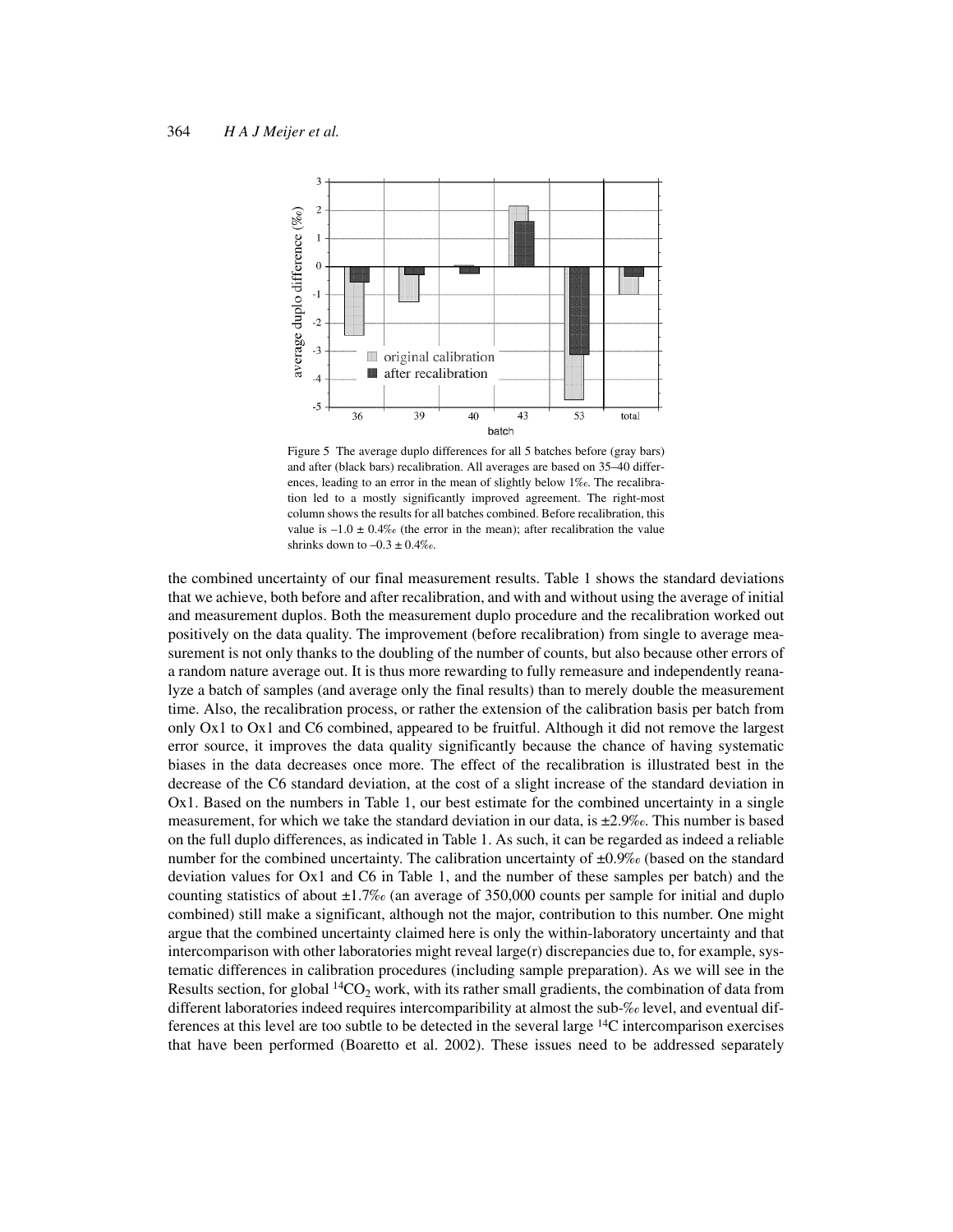

Figure 5 The average duplo differences for all 5 batches before (gray bars) and after (black bars) recalibration. All averages are based on 35–40 differences, leading to an error in the mean of slightly below 1‰. The recalibration led to a mostly significantly improved agreement. The right-most column shows the results for all batches combined. Before recalibration, this value is  $-1.0 \pm 0.4\%$  (the error in the mean); after recalibration the value shrinks down to  $-0.3 \pm 0.4\%$ .

the combined uncertainty of our final measurement results. Table 1 shows the standard deviations that we achieve, both before and after recalibration, and with and without using the average of initial and measurement duplos. Both the measurement duplo procedure and the recalibration worked out positively on the data quality. The improvement (before recalibration) from single to average measurement is not only thanks to the doubling of the number of counts, but also because other errors of a random nature average out. It is thus more rewarding to fully remeasure and independently reanalyze a batch of samples (and average only the final results) than to merely double the measurement time. Also, the recalibration process, or rather the extension of the calibration basis per batch from only Ox1 to Ox1 and C6 combined, appeared to be fruitful. Although it did not remove the largest error source, it improves the data quality significantly because the chance of having systematic biases in the data decreases once more. The effect of the recalibration is illustrated best in the decrease of the C6 standard deviation, at the cost of a slight increase of the standard deviation in Ox1. Based on the numbers in Table 1, our best estimate for the combined uncertainty in a single measurement, for which we take the standard deviation in our data, is  $\pm 2.9\%$ . This number is based on the full duplo differences, as indicated in Table 1. As such, it can be regarded as indeed a reliable number for the combined uncertainty. The calibration uncertainty of  $\pm 0.9\%$  (based on the standard deviation values for Ox1 and C6 in Table 1, and the number of these samples per batch) and the counting statistics of about  $\pm 1.7\%$  (an average of 350,000 counts per sample for initial and duplo combined) still make a significant, although not the major, contribution to this number. One might argue that the combined uncertainty claimed here is only the within-laboratory uncertainty and that intercomparison with other laboratories might reveal large(r) discrepancies due to, for example, systematic differences in calibration procedures (including sample preparation). As we will see in the Results section, for global  $^{14}CO_2$  work, with its rather small gradients, the combination of data from different laboratories indeed requires intercomparibility at almost the sub-‰ level, and eventual differences at this level are too subtle to be detected in the several large 14C intercomparison exercises that have been performed (Boaretto et al. 2002). These issues need to be addressed separately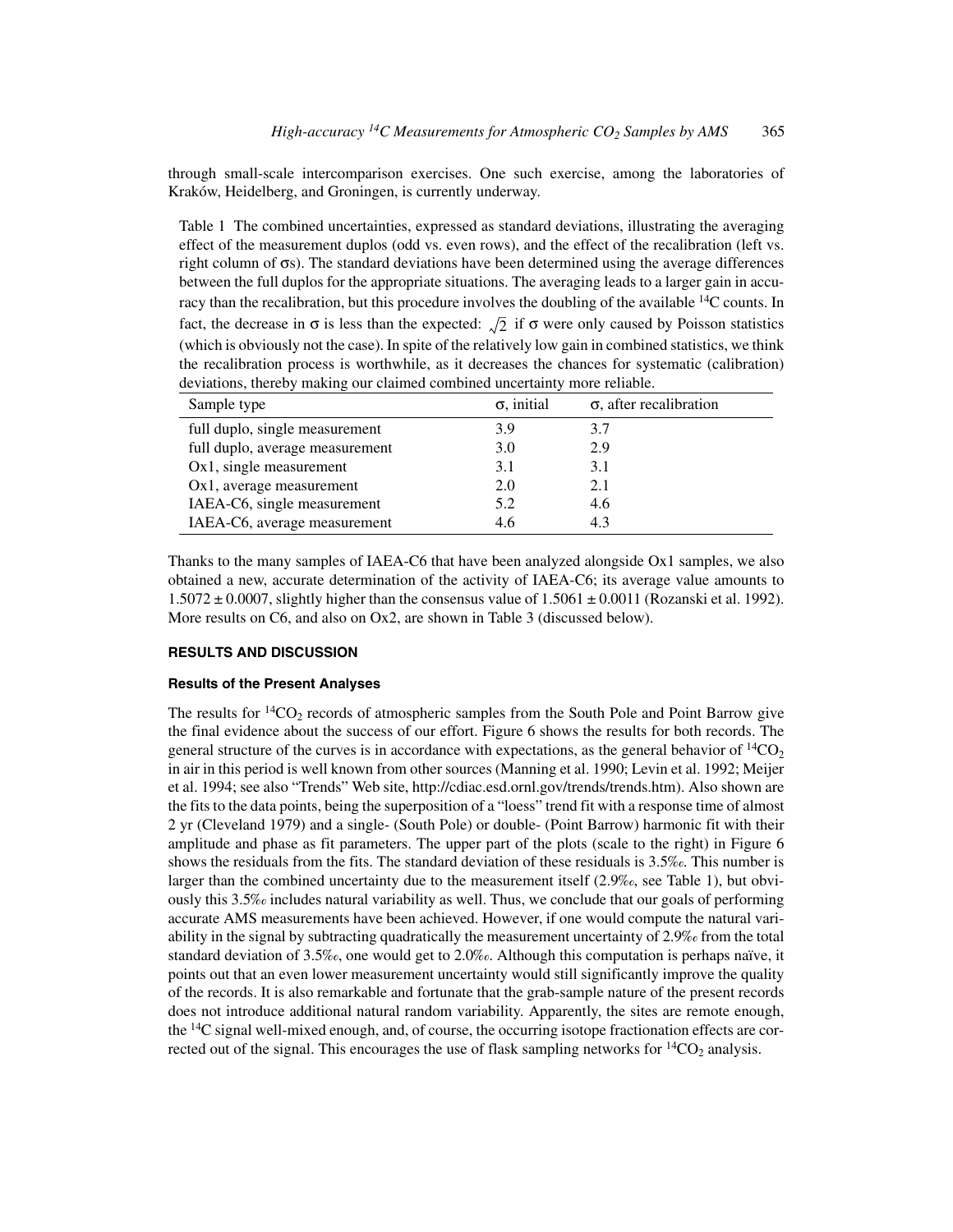through small-scale intercomparison exercises. One such exercise, among the laboratories of Kraków, Heidelberg, and Groningen, is currently underway.

Table 1 The combined uncertainties, expressed as standard deviations, illustrating the averaging effect of the measurement duplos (odd vs. even rows), and the effect of the recalibration (left vs. right column of σs). The standard deviations have been determined using the average differences between the full duplos for the appropriate situations. The averaging leads to a larger gain in accuracy than the recalibration, but this procedure involves the doubling of the available 14C counts. In fact, the decrease in  $\sigma$  is less than the expected:  $\sqrt{2}$  if  $\sigma$  were only caused by Poisson statistics (which is obviously not the case). In spite of the relatively low gain in combined statistics, we think the recalibration process is worthwhile, as it decreases the chances for systematic (calibration) deviations, thereby making our claimed combined uncertainty more reliable.

| Sample type                     | $\sigma$ , initial | $\sigma$ , after recalibration |
|---------------------------------|--------------------|--------------------------------|
| full duplo, single measurement  | 3.9                | 3.7                            |
| full duplo, average measurement | 3.0                | 2.9                            |
| $Ox1$ , single measurement      | 3.1                | 3.1                            |
| Ox1, average measurement        | 2.0                | 2.1                            |
| IAEA-C6, single measurement     | 5.2                | 4.6                            |
| IAEA-C6, average measurement    | 4.6                | 4.3                            |

Thanks to the many samples of IAEA-C6 that have been analyzed alongside Ox1 samples, we also obtained a new, accurate determination of the activity of IAEA-C6; its average value amounts to  $1.5072 \pm 0.0007$ , slightly higher than the consensus value of  $1.5061 \pm 0.0011$  (Rozanski et al. 1992). More results on C6, and also on Ox2, are shown in Table 3 (discussed below).

### **RESULTS AND DISCUSSION**

#### **Results of the Present Analyses**

The results for  ${}^{14}CO_2$  records of atmospheric samples from the South Pole and Point Barrow give the final evidence about the success of our effort. Figure 6 shows the results for both records. The general structure of the curves is in accordance with expectations, as the general behavior of  $^{14}CO_2$ in air in this period is well known from other sources (Manning et al. 1990; Levin et al. 1992; Meijer et al. 1994; see also "Trends" Web site, http://cdiac.esd.ornl.gov/trends/trends.htm). Also shown are the fits to the data points, being the superposition of a "loess" trend fit with a response time of almost 2 yr (Cleveland 1979) and a single- (South Pole) or double- (Point Barrow) harmonic fit with their amplitude and phase as fit parameters. The upper part of the plots (scale to the right) in Figure 6 shows the residuals from the fits. The standard deviation of these residuals is 3.5‰. This number is larger than the combined uncertainty due to the measurement itself (2.9‰, see Table 1), but obviously this 3.5‰ includes natural variability as well. Thus, we conclude that our goals of performing accurate AMS measurements have been achieved. However, if one would compute the natural variability in the signal by subtracting quadratically the measurement uncertainty of 2.9‰ from the total standard deviation of 3.5‰, one would get to 2.0‰. Although this computation is perhaps naïve, it points out that an even lower measurement uncertainty would still significantly improve the quality of the records. It is also remarkable and fortunate that the grab-sample nature of the present records does not introduce additional natural random variability. Apparently, the sites are remote enough, the  $^{14}$ C signal well-mixed enough, and, of course, the occurring isotope fractionation effects are corrected out of the signal. This encourages the use of flask sampling networks for  ${}^{14}CO_2$  analysis.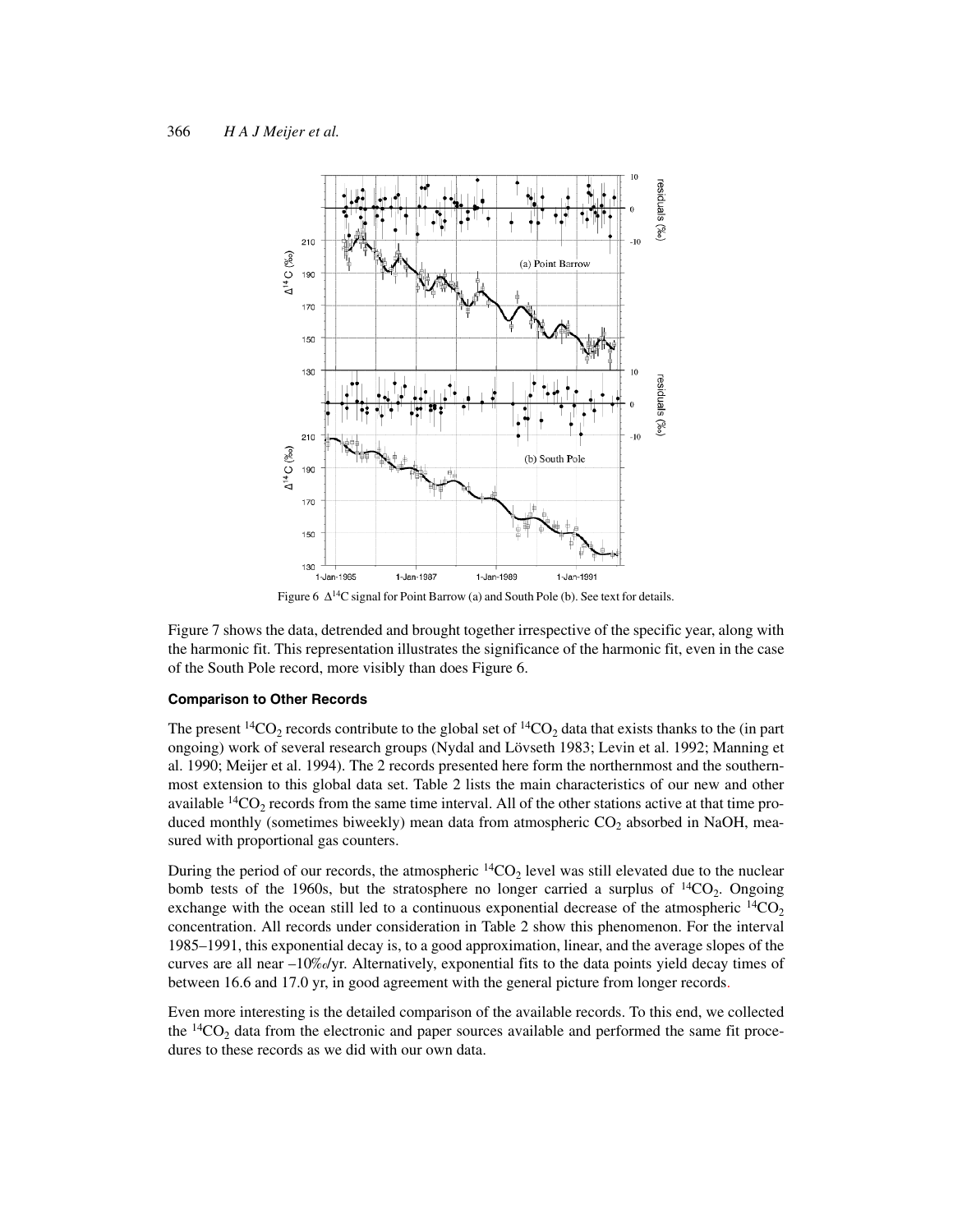

Figure 6 ∆14C signal for Point Barrow (a) and South Pole (b). See text for details.

Figure 7 shows the data, detrended and brought together irrespective of the specific year, along with the harmonic fit. This representation illustrates the significance of the harmonic fit, even in the case of the South Pole record, more visibly than does Figure 6.

#### **Comparison to Other Records**

The present <sup>14</sup>CO<sub>2</sub> records contribute to the global set of <sup>14</sup>CO<sub>2</sub> data that exists thanks to the (in part ongoing) work of several research groups (Nydal and Lövseth 1983; Levin et al. 1992; Manning et al. 1990; Meijer et al. 1994). The 2 records presented here form the northernmost and the southernmost extension to this global data set. Table 2 lists the main characteristics of our new and other available  $14CO_2$  records from the same time interval. All of the other stations active at that time produced monthly (sometimes biweekly) mean data from atmospheric  $CO<sub>2</sub>$  absorbed in NaOH, measured with proportional gas counters.

During the period of our records, the atmospheric  ${}^{14}CO_2$  level was still elevated due to the nuclear bomb tests of the 1960s, but the stratosphere no longer carried a surplus of  $^{14}CO_2$ . Ongoing exchange with the ocean still led to a continuous exponential decrease of the atmospheric  ${}^{14}CO_2$ concentration. All records under consideration in Table 2 show this phenomenon. For the interval 1985–1991, this exponential decay is, to a good approximation, linear, and the average slopes of the curves are all near –10‰/yr. Alternatively, exponential fits to the data points yield decay times of between 16.6 and 17.0 yr, in good agreement with the general picture from longer records.

Even more interesting is the detailed comparison of the available records. To this end, we collected the  $^{14}CO<sub>2</sub>$  data from the electronic and paper sources available and performed the same fit procedures to these records as we did with our own data.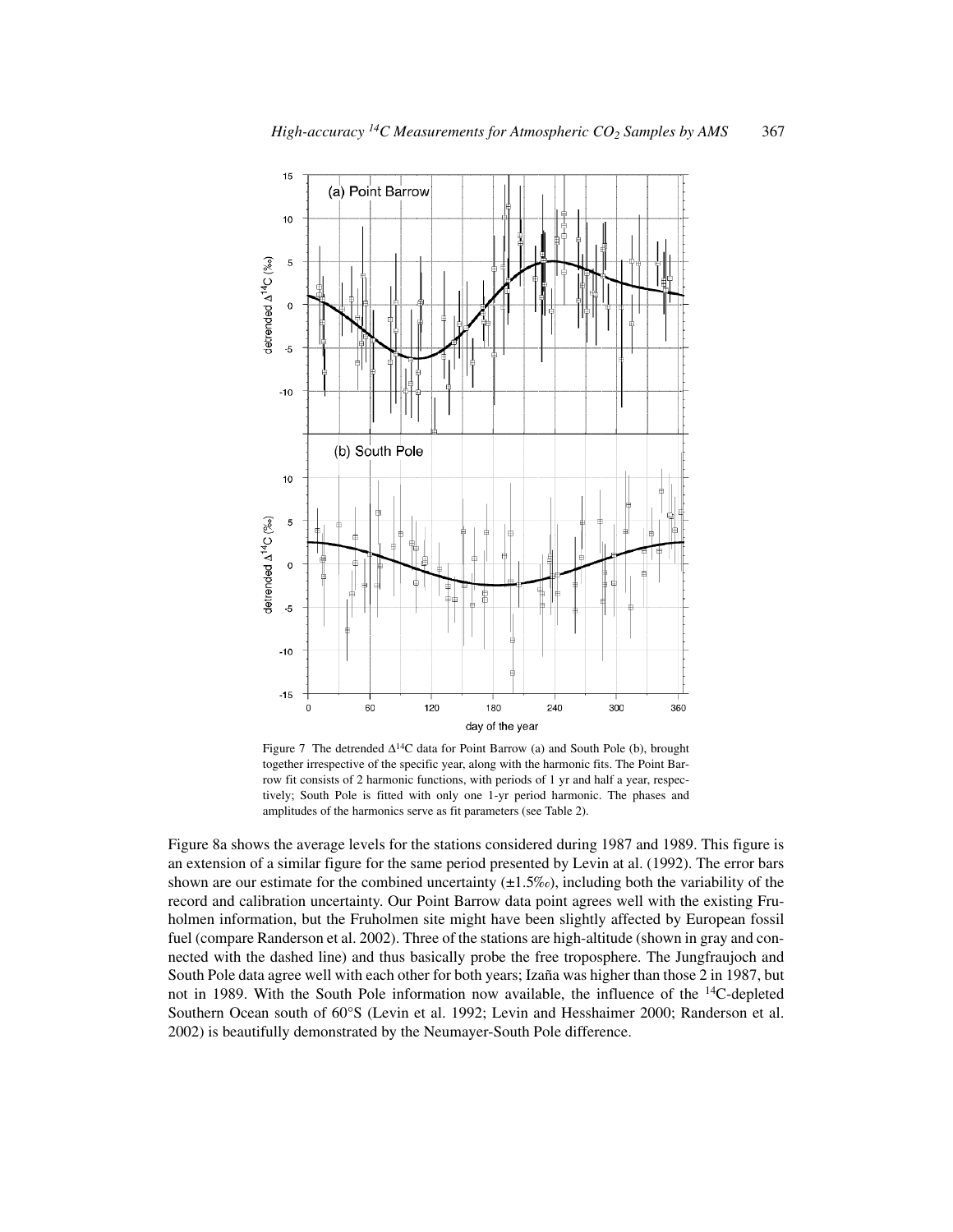

Figure 7 The detrended  $\Delta^{14}C$  data for Point Barrow (a) and South Pole (b), brought together irrespective of the specific year, along with the harmonic fits. The Point Barrow fit consists of 2 harmonic functions, with periods of 1 yr and half a year, respectively; South Pole is fitted with only one 1-yr period harmonic. The phases and amplitudes of the harmonics serve as fit parameters (see Table 2).

Figure 8a shows the average levels for the stations considered during 1987 and 1989. This figure is an extension of a similar figure for the same period presented by Levin at al. (1992). The error bars shown are our estimate for the combined uncertainty  $(\pm 1.5\%)$ , including both the variability of the record and calibration uncertainty. Our Point Barrow data point agrees well with the existing Fruholmen information, but the Fruholmen site might have been slightly affected by European fossil fuel (compare Randerson et al. 2002). Three of the stations are high-altitude (shown in gray and connected with the dashed line) and thus basically probe the free troposphere. The Jungfraujoch and South Pole data agree well with each other for both years; Izaña was higher than those 2 in 1987, but not in 1989. With the South Pole information now available, the influence of the 14C-depleted Southern Ocean south of 60°S (Levin et al. 1992; Levin and Hesshaimer 2000; Randerson et al. 2002) is beautifully demonstrated by the Neumayer-South Pole difference.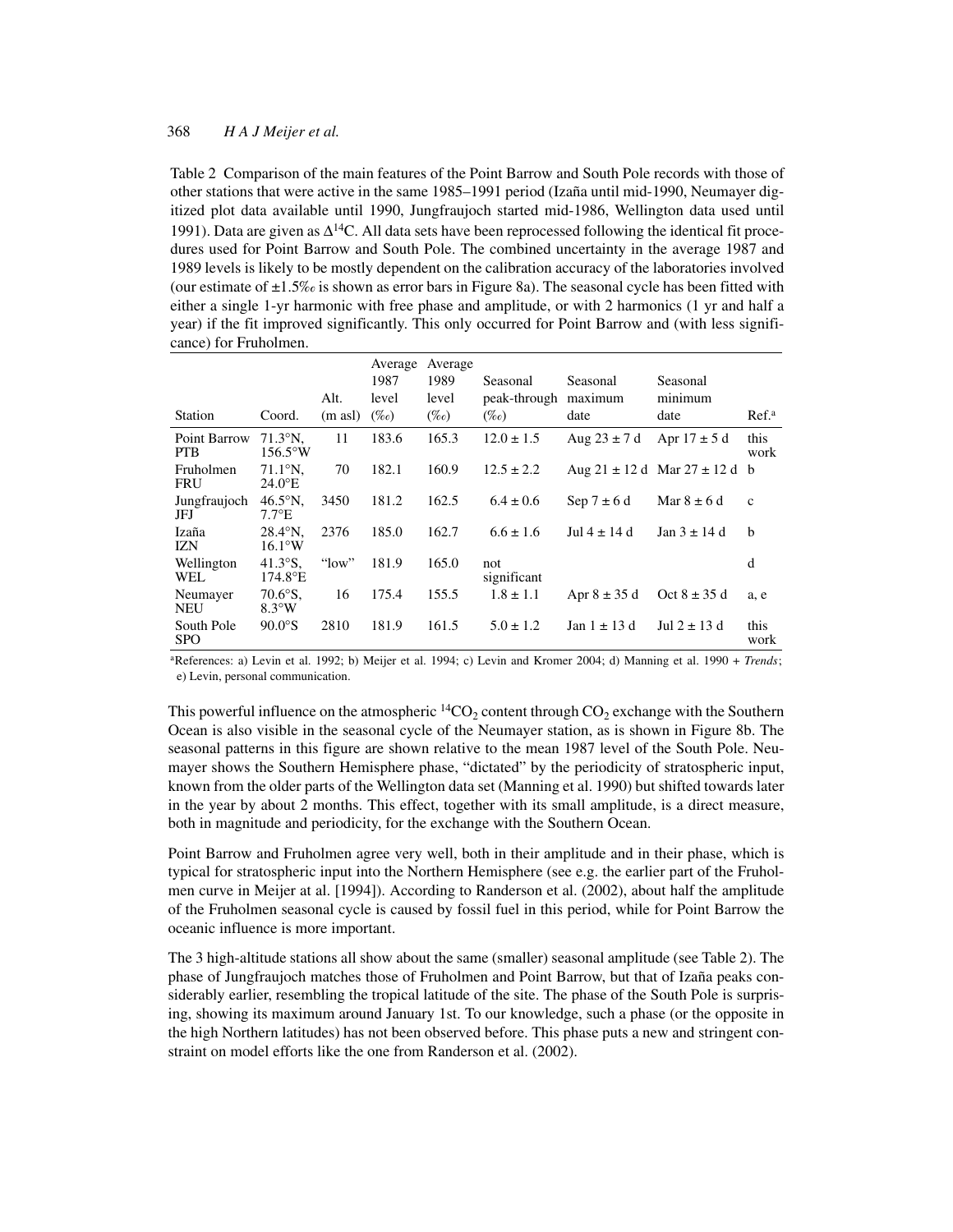Table 2 Comparison of the main features of the Point Barrow and South Pole records with those of other stations that were active in the same 1985–1991 period (Izaña until mid-1990, Neumayer digitized plot data available until 1990, Jungfraujoch started mid-1986, Wellington data used until 1991). Data are given as  $\Delta^{14}C$ . All data sets have been reprocessed following the identical fit procedures used for Point Barrow and South Pole. The combined uncertainty in the average 1987 and 1989 levels is likely to be mostly dependent on the calibration accuracy of the laboratories involved (our estimate of  $\pm 1.5\%$  is shown as error bars in Figure 8a). The seasonal cycle has been fitted with either a single 1-yr harmonic with free phase and amplitude, or with 2 harmonics (1 yr and half a year) if the fit improved significantly. This only occurred for Point Barrow and (with less significance) for Fruholmen.

| Station                    | Coord.                                      | Alt.<br>(m asl) | Average<br>1987<br>level<br>$(\%o)$ | Average<br>1989<br>level<br>$(\%o)$ | Seasonal<br>peak-through<br>$(\%o)$ | Seasonal<br>maximum<br>date | Seasonal<br>minimum<br>date           | Ref <sup>a</sup> |
|----------------------------|---------------------------------------------|-----------------|-------------------------------------|-------------------------------------|-------------------------------------|-----------------------------|---------------------------------------|------------------|
| Point Barrow<br><b>PTB</b> | $71.3^{\circ}N$ .<br>$156.5^{\circ}$ W      | 11              | 183.6                               | 165.3                               | $12.0 \pm 1.5$                      | Aug $23 \pm 7$ d            | Apr $17 \pm 5$ d                      | this<br>work     |
| Fruholmen<br><b>FRU</b>    | $71.1^{\circ}$ N.<br>$24.0^{\circ}E$        | 70              | 182.1                               | 160.9                               | $12.5 \pm 2.2$                      |                             | Aug $21 \pm 12$ d Mar $27 \pm 12$ d b |                  |
| Jungfraujoch<br>JFJ        | $46.5^\circ$ N.<br>$7.7^{\circ}E$           | 3450            | 181.2                               | 162.5                               | $6.4 \pm 0.6$                       | Sep $7 \pm 6$ d             | Mar $8 \pm 6$ d                       | $\mathbf{c}$     |
| Izaña<br><b>IZN</b>        | $28.4^{\circ}N$ .<br>$16.1^{\circ}W$        | 2376            | 185.0                               | 162.7                               | $6.6 \pm 1.6$                       | Jul $4 \pm 14$ d            | Jan $3 \pm 14$ d                      | <sub>b</sub>     |
| Wellington<br>WEL          | $41.3\text{°S}$ .<br>$174.8$ <sup>o</sup> E | " $low"$        | 181.9                               | 165.0                               | not<br>significant                  |                             |                                       | d                |
| Neumayer<br><b>NEU</b>     | $70.6\textdegree$ S.<br>$8.3\textdegree W$  | 16              | 175.4                               | 155.5                               | $1.8 \pm 1.1$                       | Apr $8 \pm 35$ d            | Oct $8 \pm 35$ d                      | a, e             |
| South Pole<br><b>SPO</b>   | $90.0^\circ$ S                              | 2810            | 181.9                               | 161.5                               | $5.0 \pm 1.2$                       | Jan $1 \pm 13$ d            | Jul $2 \pm 13$ d                      | this<br>work     |

aReferences: a) Levin et al. 1992; b) Meijer et al. 1994; c) Levin and Kromer 2004; d) Manning et al. 1990 + *Trends*; e) Levin, personal communication.

This powerful influence on the atmospheric  $\frac{14CO_2}{14CO_2}$  content through CO<sub>2</sub> exchange with the Southern Ocean is also visible in the seasonal cycle of the Neumayer station, as is shown in Figure 8b. The seasonal patterns in this figure are shown relative to the mean 1987 level of the South Pole. Neumayer shows the Southern Hemisphere phase, "dictated" by the periodicity of stratospheric input, known from the older parts of the Wellington data set (Manning et al. 1990) but shifted towards later in the year by about 2 months. This effect, together with its small amplitude, is a direct measure, both in magnitude and periodicity, for the exchange with the Southern Ocean.

Point Barrow and Fruholmen agree very well, both in their amplitude and in their phase, which is typical for stratospheric input into the Northern Hemisphere (see e.g. the earlier part of the Fruholmen curve in Meijer at al. [1994]). According to Randerson et al. (2002), about half the amplitude of the Fruholmen seasonal cycle is caused by fossil fuel in this period, while for Point Barrow the oceanic influence is more important.

The 3 high-altitude stations all show about the same (smaller) seasonal amplitude (see Table 2). The phase of Jungfraujoch matches those of Fruholmen and Point Barrow, but that of Izaña peaks considerably earlier, resembling the tropical latitude of the site. The phase of the South Pole is surprising, showing its maximum around January 1st. To our knowledge, such a phase (or the opposite in the high Northern latitudes) has not been observed before. This phase puts a new and stringent constraint on model efforts like the one from Randerson et al. (2002).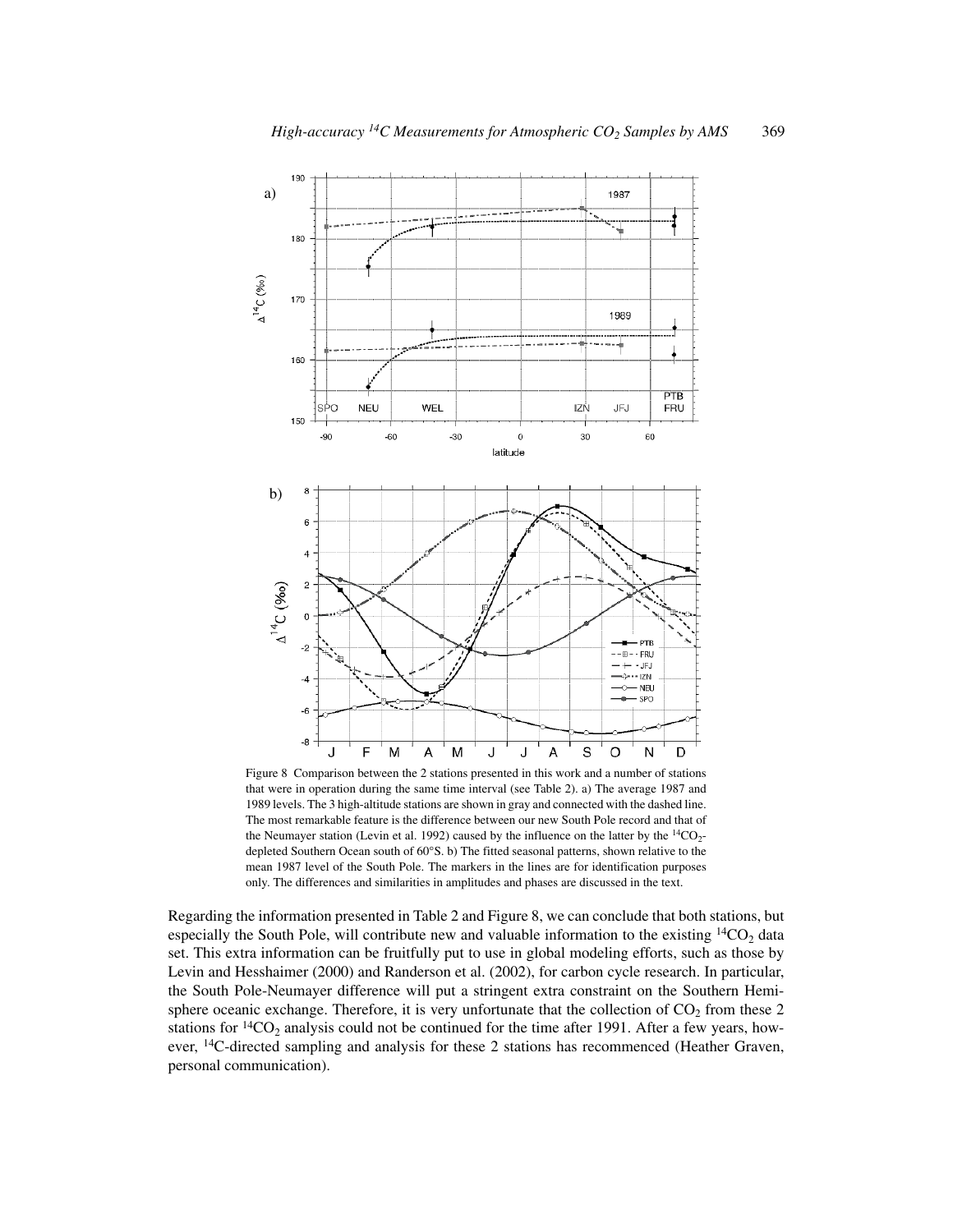

Figure 8 Comparison between the 2 stations presented in this work and a number of stations that were in operation during the same time interval (see Table 2). a) The average 1987 and 1989 levels. The 3 high-altitude stations are shown in gray and connected with the dashed line. The most remarkable feature is the difference between our new South Pole record and that of the Neumayer station (Levin et al. 1992) caused by the influence on the latter by the  ${}^{14}CO_2$ depleted Southern Ocean south of 60°S. b) The fitted seasonal patterns, shown relative to the mean 1987 level of the South Pole. The markers in the lines are for identification purposes only. The differences and similarities in amplitudes and phases are discussed in the text.

Regarding the information presented in Table 2 and Figure 8, we can conclude that both stations, but especially the South Pole, will contribute new and valuable information to the existing  $\frac{14CO_2}{14}$  data set. This extra information can be fruitfully put to use in global modeling efforts, such as those by Levin and Hesshaimer (2000) and Randerson et al. (2002), for carbon cycle research. In particular, the South Pole-Neumayer difference will put a stringent extra constraint on the Southern Hemisphere oceanic exchange. Therefore, it is very unfortunate that the collection of  $CO<sub>2</sub>$  from these 2 stations for  $\rm{^{14}CO_2}$  analysis could not be continued for the time after 1991. After a few years, however, 14C-directed sampling and analysis for these 2 stations has recommenced (Heather Graven, personal communication).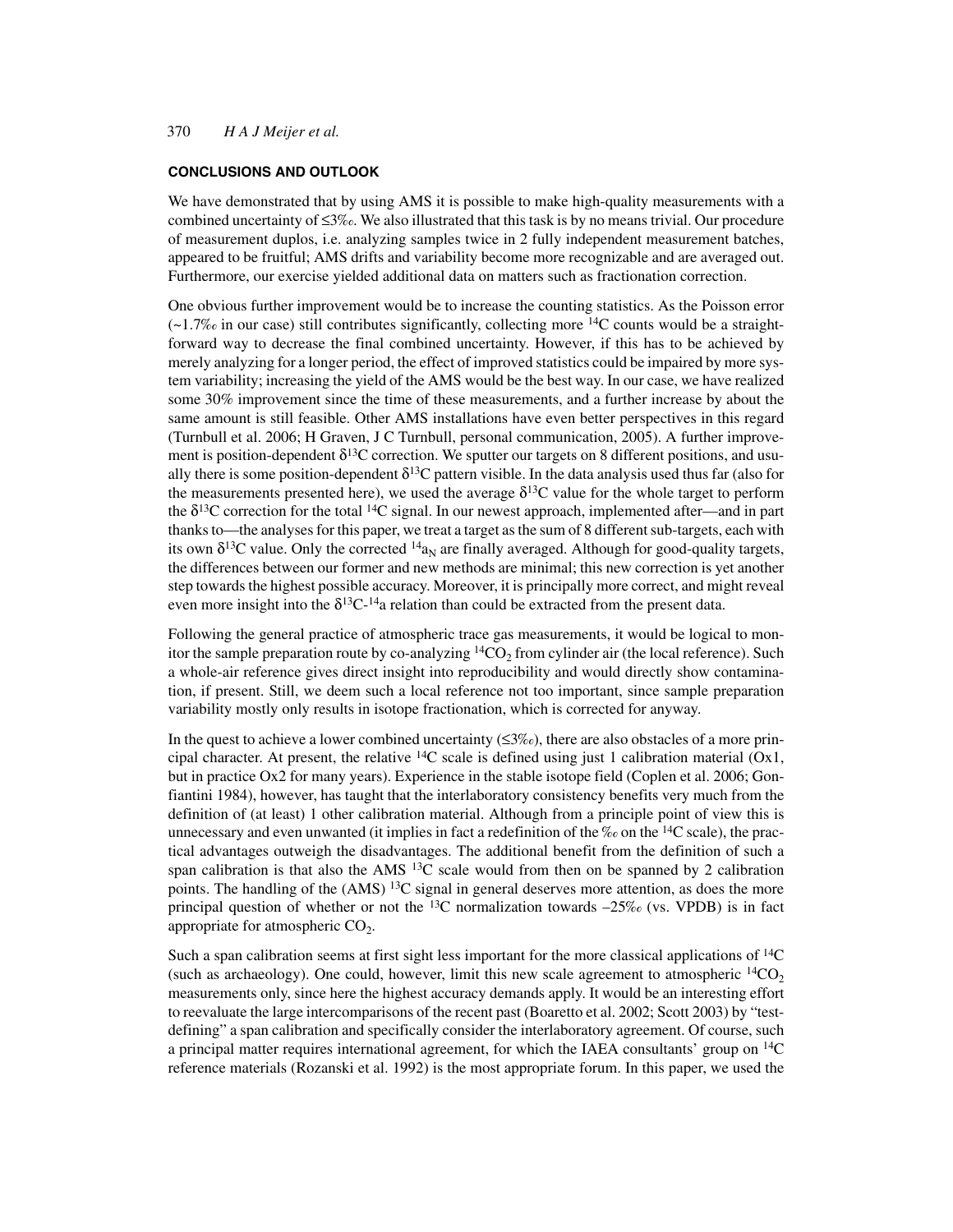# **CONCLUSIONS AND OUTLOOK**

We have demonstrated that by using AMS it is possible to make high-quality measurements with a combined uncertainty of  $\leq 3\%$ . We also illustrated that this task is by no means trivial. Our procedure of measurement duplos, i.e. analyzing samples twice in 2 fully independent measurement batches, appeared to be fruitful; AMS drifts and variability become more recognizable and are averaged out. Furthermore, our exercise yielded additional data on matters such as fractionation correction.

One obvious further improvement would be to increase the counting statistics. As the Poisson error  $(-1.7\% \text{ or } \text{c}$  in our case) still contributes significantly, collecting more <sup>14</sup>C counts would be a straightforward way to decrease the final combined uncertainty. However, if this has to be achieved by merely analyzing for a longer period, the effect of improved statistics could be impaired by more system variability; increasing the yield of the AMS would be the best way. In our case, we have realized some 30% improvement since the time of these measurements, and a further increase by about the same amount is still feasible. Other AMS installations have even better perspectives in this regard (Turnbull et al. 2006; H Graven, J C Turnbull, personal communication, 2005). A further improvement is position-dependent  $\delta^{13}$ C correction. We sputter our targets on 8 different positions, and usually there is some position-dependent  $\delta^{13}C$  pattern visible. In the data analysis used thus far (also for the measurements presented here), we used the average  $\delta^{13}$ C value for the whole target to perform the  $\delta^{13}$ C correction for the total <sup>14</sup>C signal. In our newest approach, implemented after—and in part thanks to—the analyses for this paper, we treat a target as the sum of 8 different sub-targets, each with its own  $\delta^{13}$ C value. Only the corrected  $^{14}a_N$  are finally averaged. Although for good-quality targets, the differences between our former and new methods are minimal; this new correction is yet another step towards the highest possible accuracy. Moreover, it is principally more correct, and might reveal even more insight into the  $\delta^{13}C^{-14}$ a relation than could be extracted from the present data.

Following the general practice of atmospheric trace gas measurements, it would be logical to monitor the sample preparation route by co-analyzing  ${}^{14}CO_2$  from cylinder air (the local reference). Such a whole-air reference gives direct insight into reproducibility and would directly show contamination, if present. Still, we deem such a local reference not too important, since sample preparation variability mostly only results in isotope fractionation, which is corrected for anyway.

In the quest to achieve a lower combined uncertainty ( $\leq 3\%$ ), there are also obstacles of a more principal character. At present, the relative  $^{14}C$  scale is defined using just 1 calibration material (Ox1, but in practice Ox2 for many years). Experience in the stable isotope field (Coplen et al. 2006; Gonfiantini 1984), however, has taught that the interlaboratory consistency benefits very much from the definition of (at least) 1 other calibration material. Although from a principle point of view this is unnecessary and even unwanted (it implies in fact a redefinition of the ‰ on the  $14C$  scale), the practical advantages outweigh the disadvantages. The additional benefit from the definition of such a span calibration is that also the AMS  $^{13}C$  scale would from then on be spanned by 2 calibration points. The handling of the  $(AMS)^{13}C$  signal in general deserves more attention, as does the more principal question of whether or not the  $^{13}$ C normalization towards  $-25\%$  (vs. VPDB) is in fact appropriate for atmospheric  $CO<sub>2</sub>$ .

Such a span calibration seems at first sight less important for the more classical applications of  ${}^{14}C$ (such as archaeology). One could, however, limit this new scale agreement to atmospheric  ${}^{14}CO_2$ measurements only, since here the highest accuracy demands apply. It would be an interesting effort to reevaluate the large intercomparisons of the recent past (Boaretto et al. 2002; Scott 2003) by "testdefining" a span calibration and specifically consider the interlaboratory agreement. Of course, such a principal matter requires international agreement, for which the IAEA consultants' group on <sup>14</sup>C reference materials (Rozanski et al. 1992) is the most appropriate forum. In this paper, we used the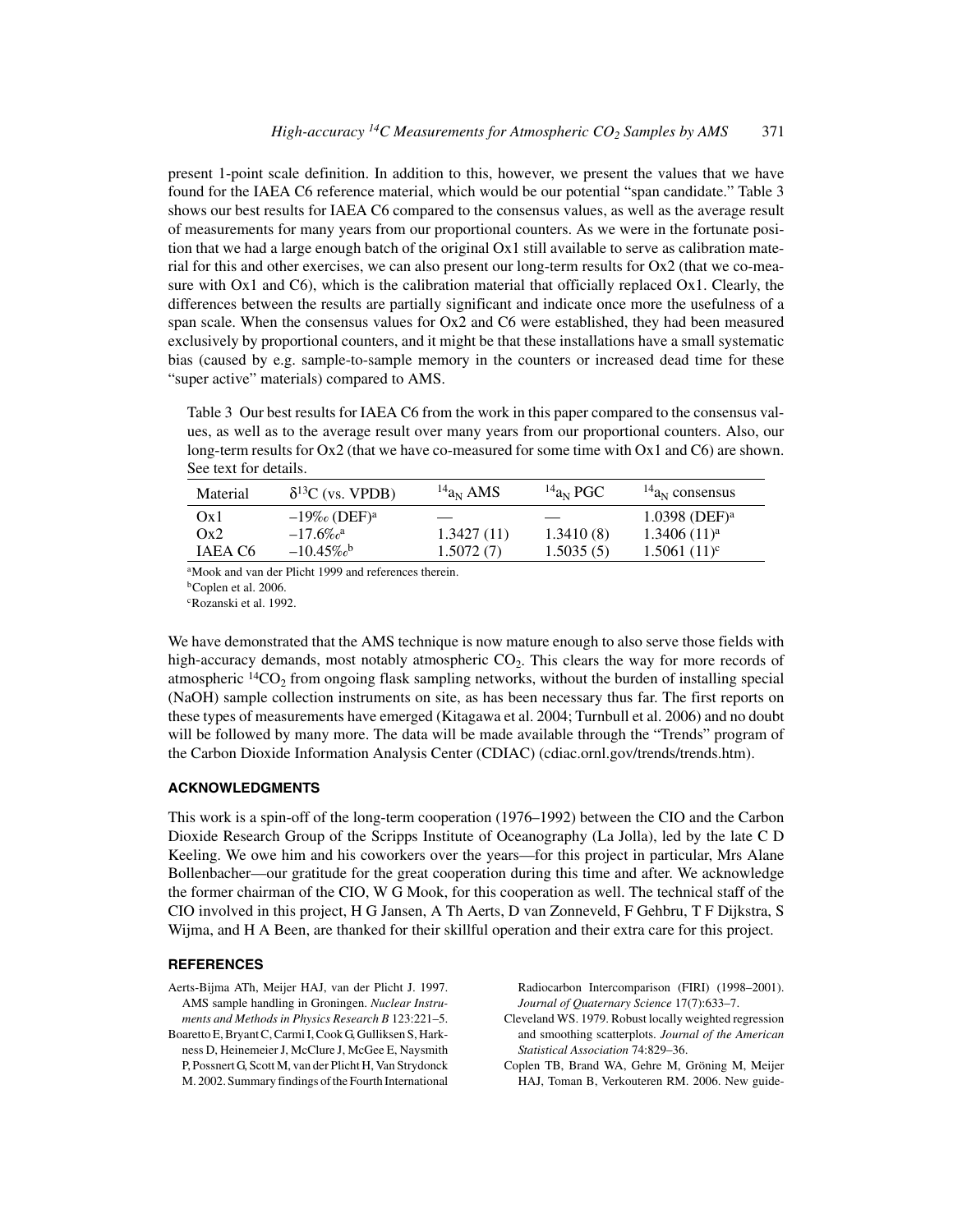present 1-point scale definition. In addition to this, however, we present the values that we have found for the IAEA C6 reference material, which would be our potential "span candidate." Table 3 shows our best results for IAEA C6 compared to the consensus values, as well as the average result of measurements for many years from our proportional counters. As we were in the fortunate position that we had a large enough batch of the original Ox1 still available to serve as calibration material for this and other exercises, we can also present our long-term results for Ox2 (that we co-measure with Ox1 and C6), which is the calibration material that officially replaced Ox1. Clearly, the differences between the results are partially significant and indicate once more the usefulness of a span scale. When the consensus values for Ox2 and C6 were established, they had been measured exclusively by proportional counters, and it might be that these installations have a small systematic bias (caused by e.g. sample-to-sample memory in the counters or increased dead time for these "super active" materials) compared to AMS.

Table 3 Our best results for IAEA C6 from the work in this paper compared to the consensus values, as well as to the average result over many years from our proportional counters. Also, our long-term results for Ox2 (that we have co-measured for some time with Ox1 and C6) are shown. See text for details.

| Material | $\delta^{13}C$ (vs. VPDB)               | $^{14}a_N$ AMS | $^{14}a_N$ PGC | $^{14}a_N$ consensus        |
|----------|-----------------------------------------|----------------|----------------|-----------------------------|
| Ox1      | $-19\%$ <sub>0</sub> (DEF) <sup>a</sup> |                |                | $1.0398$ (DEF) <sup>a</sup> |
| Ox2      | $-17.6\%$ <sub>c</sub> a                | 1.3427(11)     | 1.3410(8)      | 1.3406(11) <sup>a</sup>     |
| IAEA C6  | $-10.45\%$ <sub>o</sub> b               | 1.5072(7)      | 1.5035(5)      | $1.5061(11)^c$              |
|          |                                         |                |                |                             |

aMook and van der Plicht 1999 and references therein. bCoplen et al. 2006. cRozanski et al. 1992.

We have demonstrated that the AMS technique is now mature enough to also serve those fields with high-accuracy demands, most notably atmospheric  $CO<sub>2</sub>$ . This clears the way for more records of atmospheric  ${}^{14}CO_2$  from ongoing flask sampling networks, without the burden of installing special (NaOH) sample collection instruments on site, as has been necessary thus far. The first reports on these types of measurements have emerged (Kitagawa et al. 2004; Turnbull et al. 2006) and no doubt will be followed by many more. The data will be made available through the "Trends" program of the Carbon Dioxide Information Analysis Center (CDIAC) (cdiac.ornl.gov/trends/trends.htm).

# **ACKNOWLEDGMENTS**

This work is a spin-off of the long-term cooperation (1976–1992) between the CIO and the Carbon Dioxide Research Group of the Scripps Institute of Oceanography (La Jolla), led by the late C D Keeling. We owe him and his coworkers over the years—for this project in particular, Mrs Alane Bollenbacher—our gratitude for the great cooperation during this time and after. We acknowledge the former chairman of the CIO, W G Mook, for this cooperation as well. The technical staff of the CIO involved in this project, H G Jansen, A Th Aerts, D van Zonneveld, F Gehbru, T F Dijkstra, S Wijma, and H A Been, are thanked for their skillful operation and their extra care for this project.

#### **REFERENCES**

- Aerts-Bijma ATh, Meijer HAJ, van der Plicht J. 1997. AMS sample handling in Groningen. *Nuclear Instruments and Methods in Physics Research B* 123:221–5.
- Boaretto E, Bryant C, Carmi I, Cook G, Gulliksen S, Harkness D, Heinemeier J, McClure J, McGee E, Naysmith P, Possnert G, Scott M, van der Plicht H, Van Strydonck M. 2002. Summary findings of the Fourth International

Radiocarbon Intercomparison (FIRI) (1998–2001). *Journal of Quaternary Science* 17(7):633–7.

- Cleveland WS. 1979. Robust locally weighted regression and smoothing scatterplots. *Journal of the American Statistical Association* 74:829–36.
- Coplen TB, Brand WA, Gehre M, Gröning M, Meijer HAJ, Toman B, Verkouteren RM. 2006. New guide-